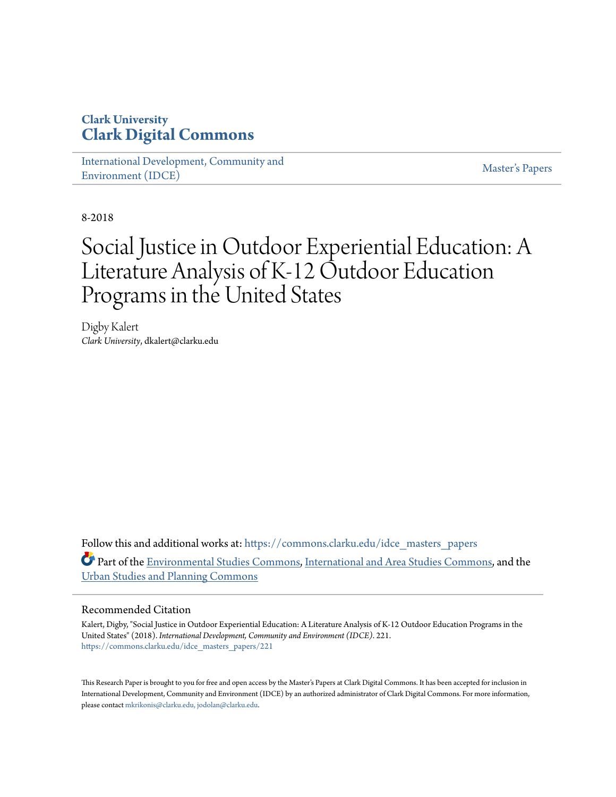### **Clark University [Clark Digital Commons](https://commons.clarku.edu?utm_source=commons.clarku.edu%2Fidce_masters_papers%2F221&utm_medium=PDF&utm_campaign=PDFCoverPages)**

[International Development, Community and](https://commons.clarku.edu/idce_masters_papers?utm_source=commons.clarku.edu%2Fidce_masters_papers%2F221&utm_medium=PDF&utm_campaign=PDFCoverPages) [Environment \(IDCE\)](https://commons.clarku.edu/idce_masters_papers?utm_source=commons.clarku.edu%2Fidce_masters_papers%2F221&utm_medium=PDF&utm_campaign=PDFCoverPages)

[Master's Papers](https://commons.clarku.edu/masters_papers?utm_source=commons.clarku.edu%2Fidce_masters_papers%2F221&utm_medium=PDF&utm_campaign=PDFCoverPages)

8-2018

# Social Justice in Outdoor Experiential Education: A Literature Analysis of K-12 Outdoor Education Programs in the United States

Digby Kalert *Clark University*, dkalert@clarku.edu

Follow this and additional works at: [https://commons.clarku.edu/idce\\_masters\\_papers](https://commons.clarku.edu/idce_masters_papers?utm_source=commons.clarku.edu%2Fidce_masters_papers%2F221&utm_medium=PDF&utm_campaign=PDFCoverPages) Part of the [Environmental Studies Commons](http://network.bepress.com/hgg/discipline/1333?utm_source=commons.clarku.edu%2Fidce_masters_papers%2F221&utm_medium=PDF&utm_campaign=PDFCoverPages), [International and Area Studies Commons](http://network.bepress.com/hgg/discipline/360?utm_source=commons.clarku.edu%2Fidce_masters_papers%2F221&utm_medium=PDF&utm_campaign=PDFCoverPages), and the [Urban Studies and Planning Commons](http://network.bepress.com/hgg/discipline/436?utm_source=commons.clarku.edu%2Fidce_masters_papers%2F221&utm_medium=PDF&utm_campaign=PDFCoverPages)

#### Recommended Citation

Kalert, Digby, "Social Justice in Outdoor Experiential Education: A Literature Analysis of K-12 Outdoor Education Programs in the United States" (2018). *International Development, Community and Environment (IDCE)*. 221. [https://commons.clarku.edu/idce\\_masters\\_papers/221](https://commons.clarku.edu/idce_masters_papers/221?utm_source=commons.clarku.edu%2Fidce_masters_papers%2F221&utm_medium=PDF&utm_campaign=PDFCoverPages)

This Research Paper is brought to you for free and open access by the Master's Papers at Clark Digital Commons. It has been accepted for inclusion in International Development, Community and Environment (IDCE) by an authorized administrator of Clark Digital Commons. For more information, please contact [mkrikonis@clarku.edu, jodolan@clarku.edu](mailto:mkrikonis@clarku.edu,%20jodolan@clarku.edu).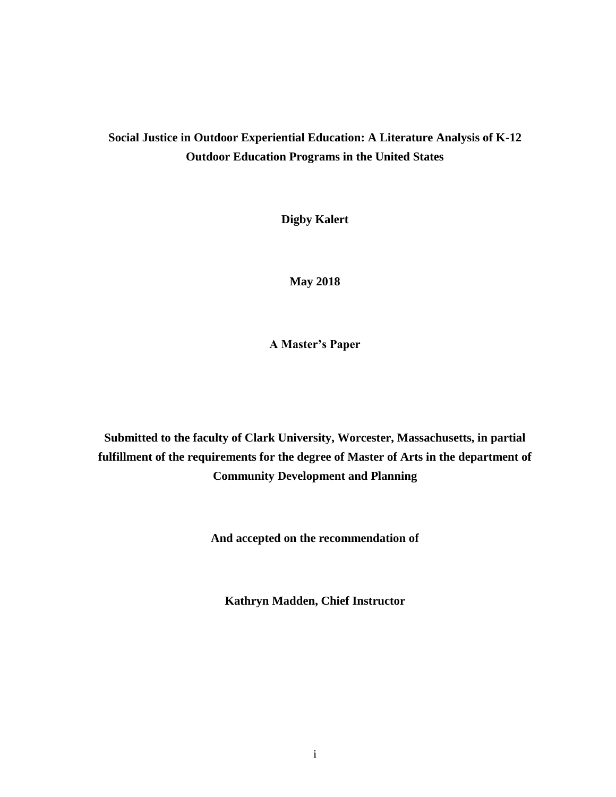### **Social Justice in Outdoor Experiential Education: A Literature Analysis of K-12 Outdoor Education Programs in the United States**

**Digby Kalert**

**May 2018**

**A Master's Paper**

**Submitted to the faculty of Clark University, Worcester, Massachusetts, in partial fulfillment of the requirements for the degree of Master of Arts in the department of Community Development and Planning**

**And accepted on the recommendation of**

**Kathryn Madden, Chief Instructor**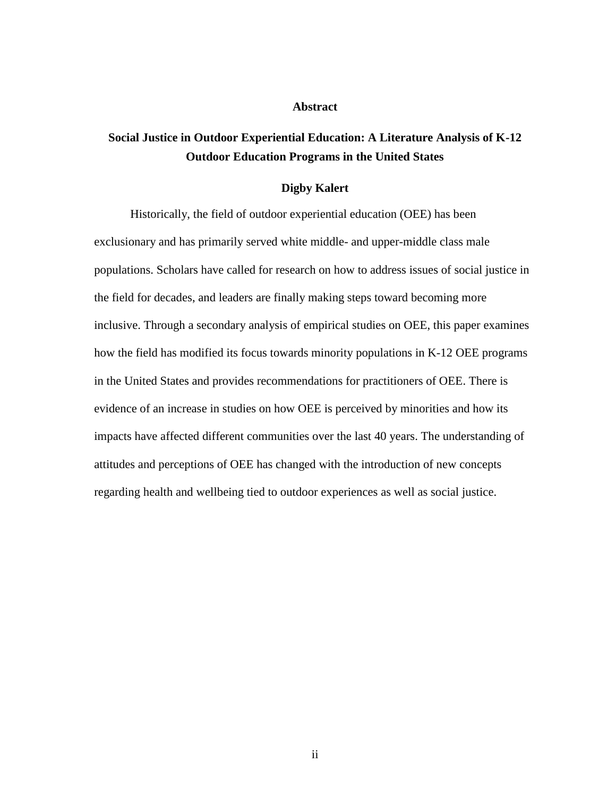#### **Abstract**

### **Social Justice in Outdoor Experiential Education: A Literature Analysis of K-12 Outdoor Education Programs in the United States**

#### **Digby Kalert**

Historically, the field of outdoor experiential education (OEE) has been exclusionary and has primarily served white middle- and upper-middle class male populations. Scholars have called for research on how to address issues of social justice in the field for decades, and leaders are finally making steps toward becoming more inclusive. Through a secondary analysis of empirical studies on OEE, this paper examines how the field has modified its focus towards minority populations in K-12 OEE programs in the United States and provides recommendations for practitioners of OEE. There is evidence of an increase in studies on how OEE is perceived by minorities and how its impacts have affected different communities over the last 40 years. The understanding of attitudes and perceptions of OEE has changed with the introduction of new concepts regarding health and wellbeing tied to outdoor experiences as well as social justice.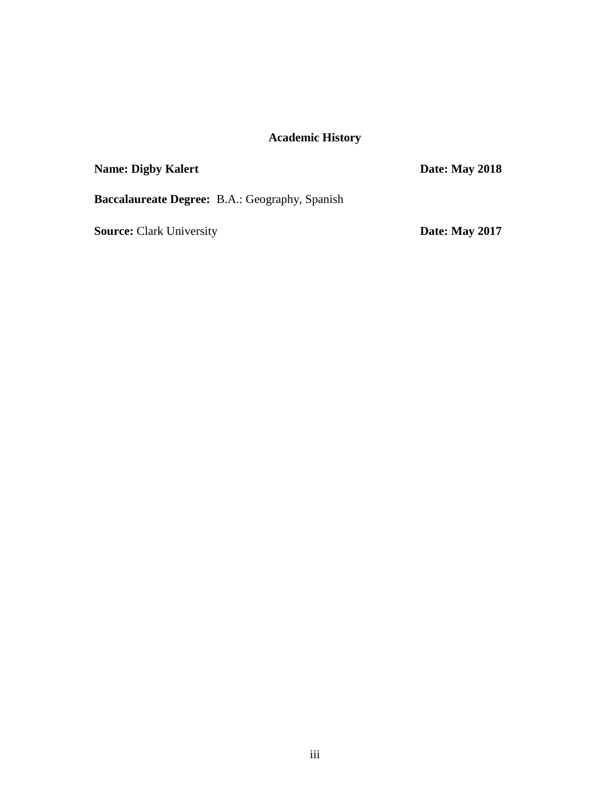### **Academic History**

### **Name: Digby Kalert Date: May 2018**

**Baccalaureate Degree:** B.A.: Geography, Spanish

**Source:** Clark University **Date:** May 2017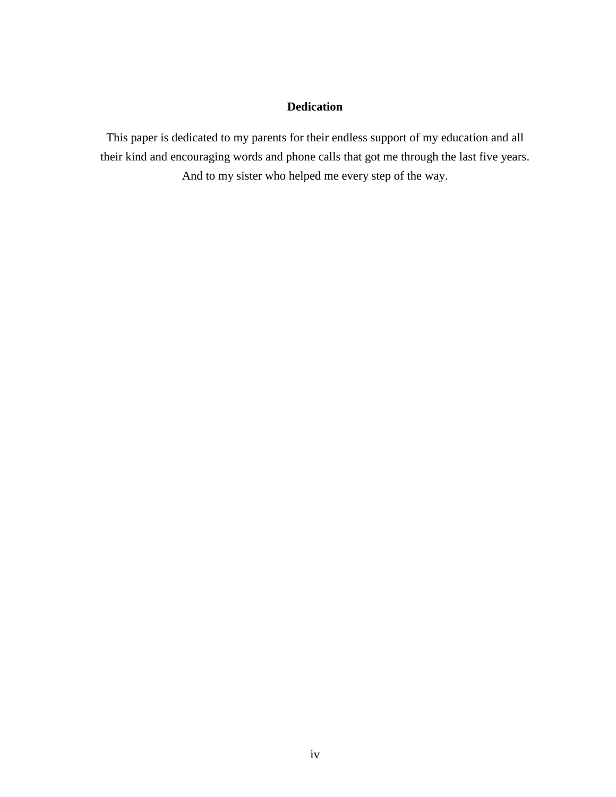### **Dedication**

This paper is dedicated to my parents for their endless support of my education and all their kind and encouraging words and phone calls that got me through the last five years. And to my sister who helped me every step of the way.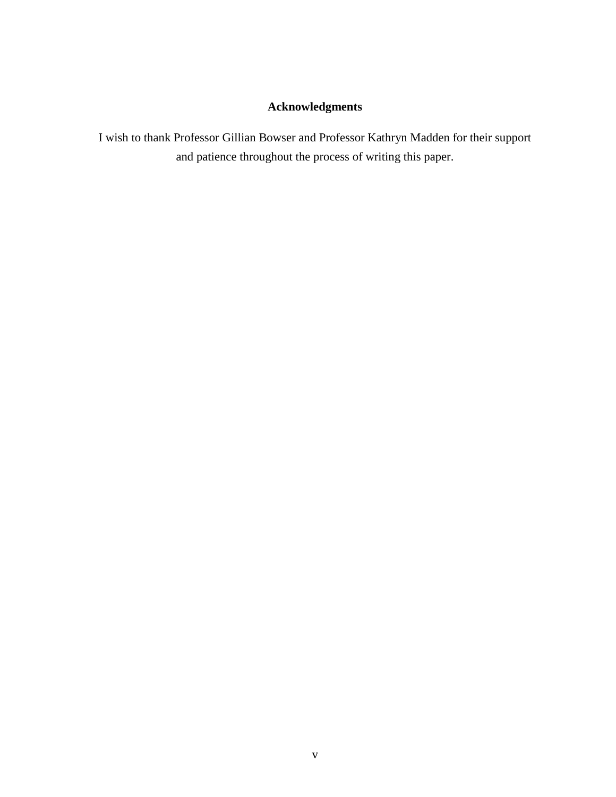### **Acknowledgments**

I wish to thank Professor Gillian Bowser and Professor Kathryn Madden for their support and patience throughout the process of writing this paper.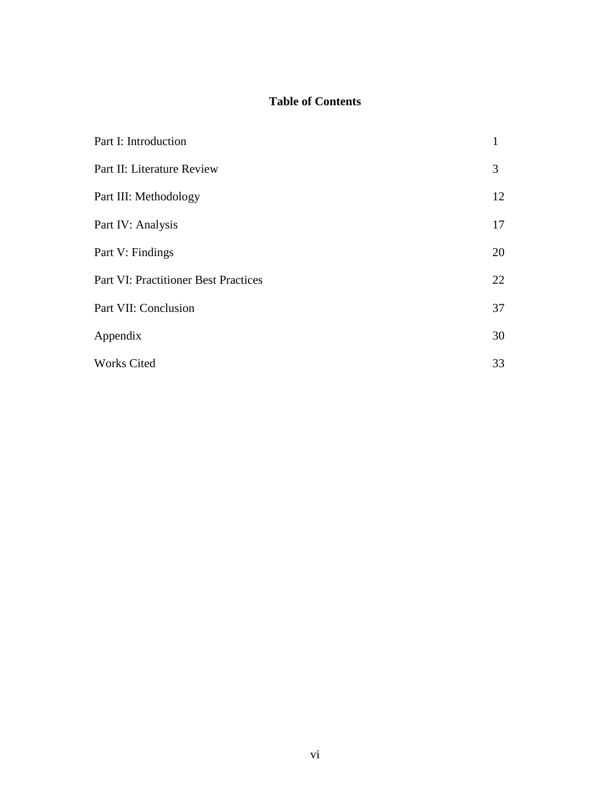### **Table of Contents**

| Part I: Introduction                        | 1  |
|---------------------------------------------|----|
| Part II: Literature Review                  | 3  |
| Part III: Methodology                       | 12 |
| Part IV: Analysis                           | 17 |
| Part V: Findings                            | 20 |
| <b>Part VI: Practitioner Best Practices</b> | 22 |
| Part VII: Conclusion                        | 37 |
| Appendix                                    | 30 |
| <b>Works Cited</b>                          | 33 |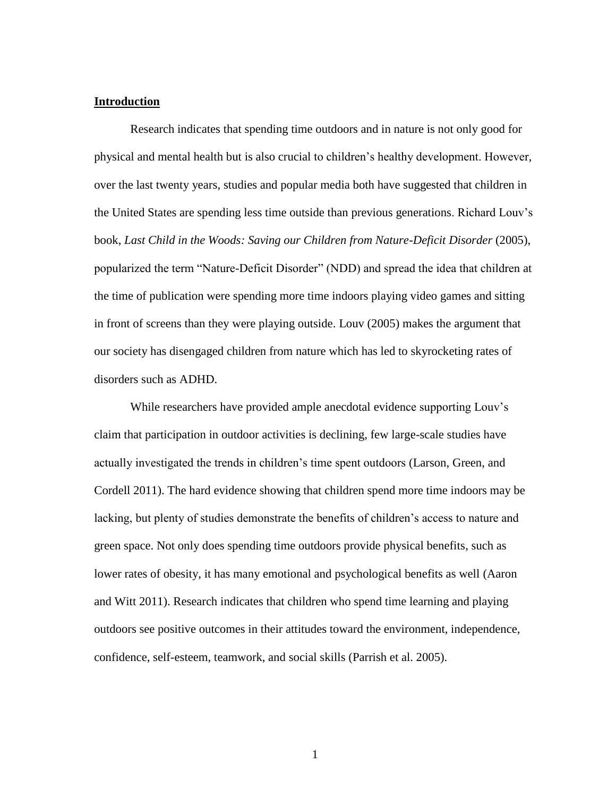#### **Introduction**

Research indicates that spending time outdoors and in nature is not only good for physical and mental health but is also crucial to children's healthy development. However, over the last twenty years, studies and popular media both have suggested that children in the United States are spending less time outside than previous generations. Richard Louv's book, *Last Child in the Woods: Saving our Children from Nature-Deficit Disorder* (2005), popularized the term "Nature-Deficit Disorder" (NDD) and spread the idea that children at the time of publication were spending more time indoors playing video games and sitting in front of screens than they were playing outside. Louv (2005) makes the argument that our society has disengaged children from nature which has led to skyrocketing rates of disorders such as ADHD.

While researchers have provided ample anecdotal evidence supporting Louv's claim that participation in outdoor activities is declining, few large-scale studies have actually investigated the trends in children's time spent outdoors (Larson, Green, and Cordell 2011). The hard evidence showing that children spend more time indoors may be lacking, but plenty of studies demonstrate the benefits of children's access to nature and green space. Not only does spending time outdoors provide physical benefits, such as lower rates of obesity, it has many emotional and psychological benefits as well (Aaron and Witt 2011). Research indicates that children who spend time learning and playing outdoors see positive outcomes in their attitudes toward the environment, independence, confidence, self-esteem, teamwork, and social skills (Parrish et al. 2005).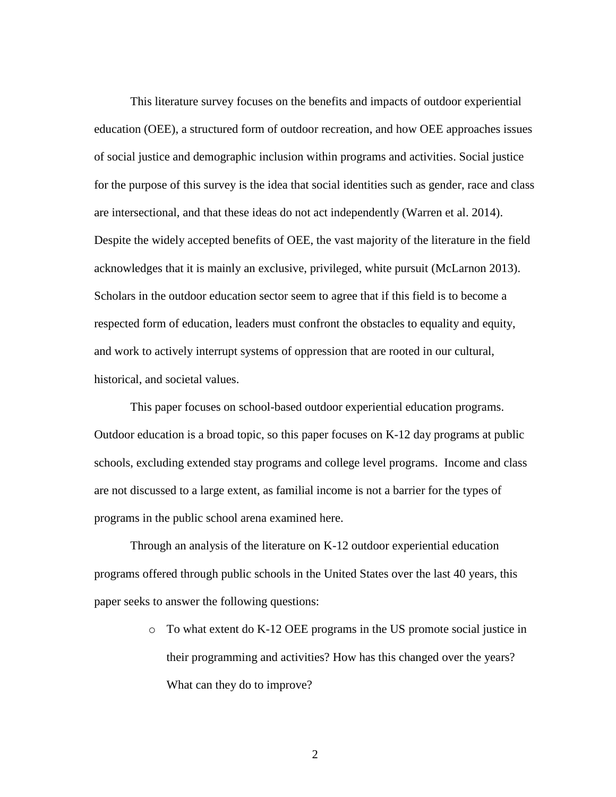This literature survey focuses on the benefits and impacts of outdoor experiential education (OEE), a structured form of outdoor recreation, and how OEE approaches issues of social justice and demographic inclusion within programs and activities. Social justice for the purpose of this survey is the idea that social identities such as gender, race and class are intersectional, and that these ideas do not act independently (Warren et al. 2014). Despite the widely accepted benefits of OEE, the vast majority of the literature in the field acknowledges that it is mainly an exclusive, privileged, white pursuit (McLarnon 2013). Scholars in the outdoor education sector seem to agree that if this field is to become a respected form of education, leaders must confront the obstacles to equality and equity, and work to actively interrupt systems of oppression that are rooted in our cultural, historical, and societal values.

This paper focuses on school-based outdoor experiential education programs. Outdoor education is a broad topic, so this paper focuses on K-12 day programs at public schools, excluding extended stay programs and college level programs. Income and class are not discussed to a large extent, as familial income is not a barrier for the types of programs in the public school arena examined here.

Through an analysis of the literature on K-12 outdoor experiential education programs offered through public schools in the United States over the last 40 years, this paper seeks to answer the following questions:

> o To what extent do K-12 OEE programs in the US promote social justice in their programming and activities? How has this changed over the years? What can they do to improve?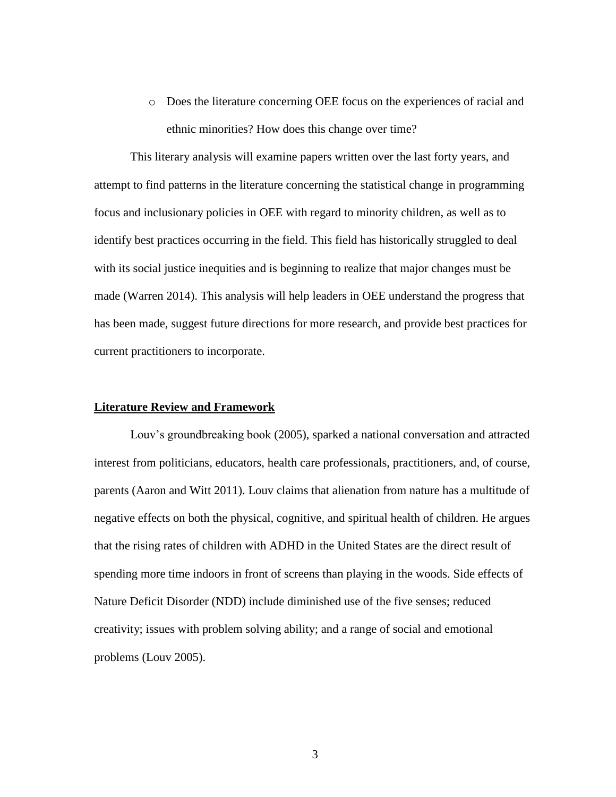o Does the literature concerning OEE focus on the experiences of racial and ethnic minorities? How does this change over time?

This literary analysis will examine papers written over the last forty years, and attempt to find patterns in the literature concerning the statistical change in programming focus and inclusionary policies in OEE with regard to minority children, as well as to identify best practices occurring in the field. This field has historically struggled to deal with its social justice inequities and is beginning to realize that major changes must be made (Warren 2014). This analysis will help leaders in OEE understand the progress that has been made, suggest future directions for more research, and provide best practices for current practitioners to incorporate.

#### **Literature Review and Framework**

Louv's groundbreaking book (2005), sparked a national conversation and attracted interest from politicians, educators, health care professionals, practitioners, and, of course, parents (Aaron and Witt 2011). Louv claims that alienation from nature has a multitude of negative effects on both the physical, cognitive, and spiritual health of children. He argues that the rising rates of children with ADHD in the United States are the direct result of spending more time indoors in front of screens than playing in the woods. Side effects of Nature Deficit Disorder (NDD) include diminished use of the five senses; reduced creativity; issues with problem solving ability; and a range of social and emotional problems (Louv 2005).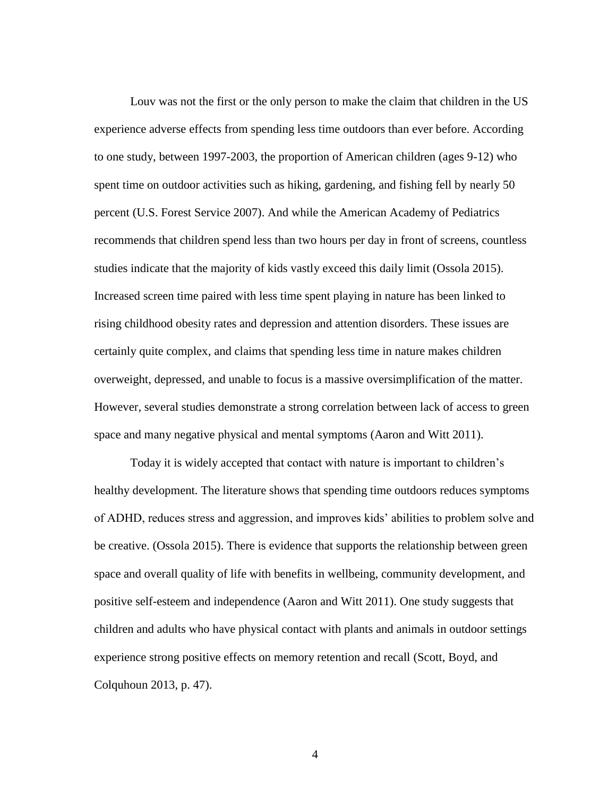Louv was not the first or the only person to make the claim that children in the US experience adverse effects from spending less time outdoors than ever before. According to one study, between 1997-2003, the proportion of American children (ages 9-12) who spent time on outdoor activities such as hiking, gardening, and fishing fell by nearly 50 percent (U.S. Forest Service 2007). And while the American Academy of Pediatrics recommends that children spend less than two hours per day in front of screens, countless studies indicate that the majority of kids vastly exceed this daily limit (Ossola 2015). Increased screen time paired with less time spent playing in nature has been linked to rising childhood obesity rates and depression and attention disorders. These issues are certainly quite complex, and claims that spending less time in nature makes children overweight, depressed, and unable to focus is a massive oversimplification of the matter. However, several studies demonstrate a strong correlation between lack of access to green space and many negative physical and mental symptoms (Aaron and Witt 2011).

Today it is widely accepted that contact with nature is important to children's healthy development. The literature shows that spending time outdoors reduces symptoms of ADHD, reduces stress and aggression, and improves kids' abilities to problem solve and be creative. (Ossola 2015). There is evidence that supports the relationship between green space and overall quality of life with benefits in wellbeing, community development, and positive self-esteem and independence (Aaron and Witt 2011). One study suggests that children and adults who have physical contact with plants and animals in outdoor settings experience strong positive effects on memory retention and recall (Scott, Boyd, and Colquhoun 2013, p. 47).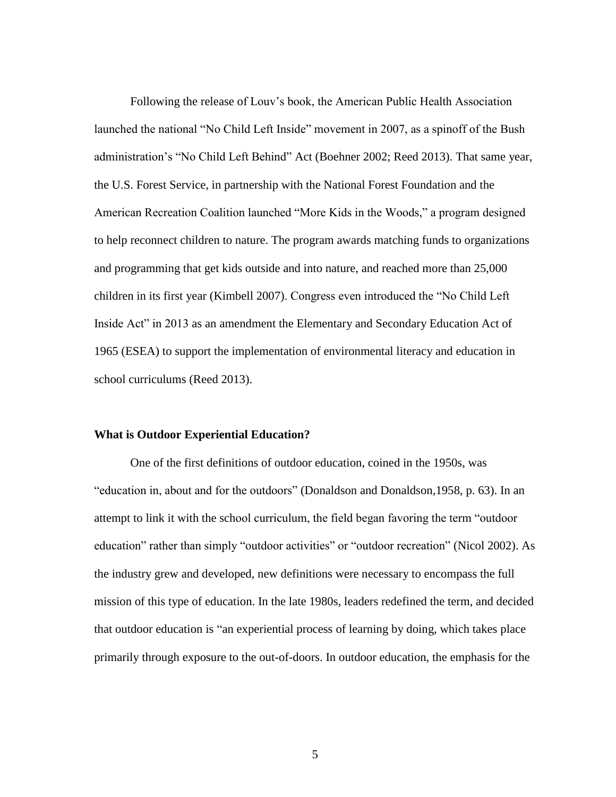Following the release of Louv's book, the American Public Health Association launched the national "No Child Left Inside" movement in 2007, as a spinoff of the Bush administration's "No Child Left Behind" Act (Boehner 2002; Reed 2013). That same year, the U.S. Forest Service, in partnership with the National Forest Foundation and the American Recreation Coalition launched "More Kids in the Woods," a program designed to help reconnect children to nature. The program awards matching funds to organizations and programming that get kids outside and into nature, and reached more than 25,000 children in its first year (Kimbell 2007). Congress even introduced the "No Child Left Inside Act" in 2013 as an amendment the Elementary and Secondary Education Act of 1965 (ESEA) to support the implementation of environmental literacy and education in school curriculums (Reed 2013).

#### **What is Outdoor Experiential Education?**

One of the first definitions of outdoor education, coined in the 1950s, was "education in, about and for the outdoors" (Donaldson and Donaldson,1958, p. 63). In an attempt to link it with the school curriculum, the field began favoring the term "outdoor education" rather than simply "outdoor activities" or "outdoor recreation" (Nicol 2002). As the industry grew and developed, new definitions were necessary to encompass the full mission of this type of education. In the late 1980s, leaders redefined the term, and decided that outdoor education is "an experiential process of learning by doing, which takes place primarily through exposure to the out-of-doors. In outdoor education, the emphasis for the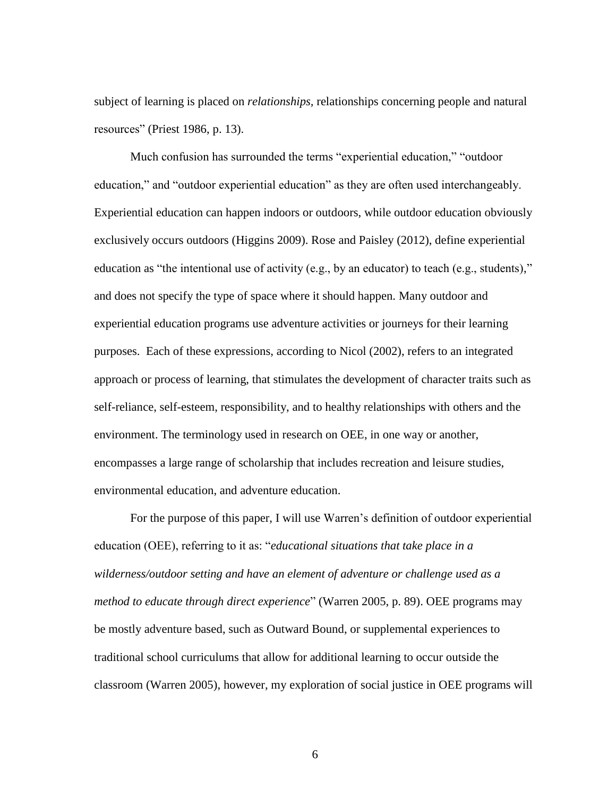subject of learning is placed on *relationships,* relationships concerning people and natural resources" (Priest 1986, p. 13).

Much confusion has surrounded the terms "experiential education," "outdoor education," and "outdoor experiential education" as they are often used interchangeably. Experiential education can happen indoors or outdoors, while outdoor education obviously exclusively occurs outdoors (Higgins 2009). Rose and Paisley (2012), define experiential education as "the intentional use of activity (e.g., by an educator) to teach (e.g., students)," and does not specify the type of space where it should happen. Many outdoor and experiential education programs use adventure activities or journeys for their learning purposes. Each of these expressions, according to Nicol (2002), refers to an integrated approach or process of learning, that stimulates the development of character traits such as self-reliance, self-esteem, responsibility, and to healthy relationships with others and the environment. The terminology used in research on OEE, in one way or another, encompasses a large range of scholarship that includes recreation and leisure studies, environmental education, and adventure education.

For the purpose of this paper, I will use Warren's definition of outdoor experiential education (OEE), referring to it as: "*educational situations that take place in a wilderness/outdoor setting and have an element of adventure or challenge used as a method to educate through direct experience*" (Warren 2005, p. 89). OEE programs may be mostly adventure based, such as Outward Bound, or supplemental experiences to traditional school curriculums that allow for additional learning to occur outside the classroom (Warren 2005), however, my exploration of social justice in OEE programs will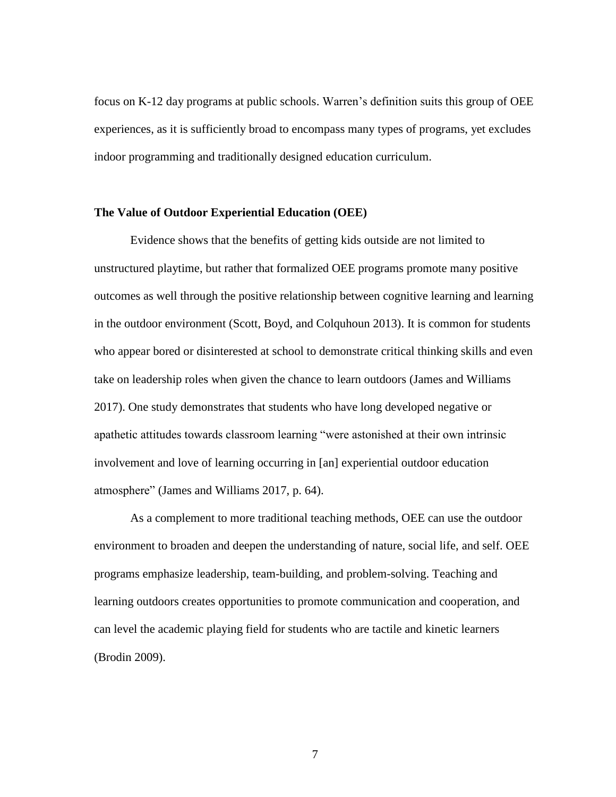focus on K-12 day programs at public schools. Warren's definition suits this group of OEE experiences, as it is sufficiently broad to encompass many types of programs, yet excludes indoor programming and traditionally designed education curriculum.

#### **The Value of Outdoor Experiential Education (OEE)**

Evidence shows that the benefits of getting kids outside are not limited to unstructured playtime, but rather that formalized OEE programs promote many positive outcomes as well through the positive relationship between cognitive learning and learning in the outdoor environment (Scott, Boyd, and Colquhoun 2013). It is common for students who appear bored or disinterested at school to demonstrate critical thinking skills and even take on leadership roles when given the chance to learn outdoors (James and Williams 2017). One study demonstrates that students who have long developed negative or apathetic attitudes towards classroom learning "were astonished at their own intrinsic involvement and love of learning occurring in [an] experiential outdoor education atmosphere" (James and Williams 2017, p. 64).

As a complement to more traditional teaching methods, OEE can use the outdoor environment to broaden and deepen the understanding of nature, social life, and self. OEE programs emphasize leadership, team-building, and problem-solving. Teaching and learning outdoors creates opportunities to promote communication and cooperation, and can level the academic playing field for students who are tactile and kinetic learners (Brodin 2009).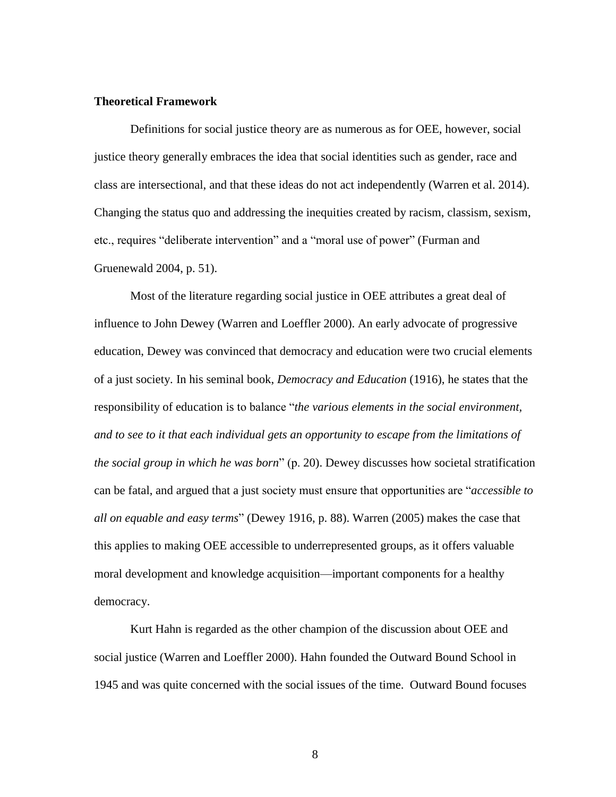#### **Theoretical Framework**

Definitions for social justice theory are as numerous as for OEE, however, social justice theory generally embraces the idea that social identities such as gender, race and class are intersectional, and that these ideas do not act independently (Warren et al. 2014). Changing the status quo and addressing the inequities created by racism, classism, sexism, etc., requires "deliberate intervention" and a "moral use of power" (Furman and Gruenewald 2004, p. 51).

Most of the literature regarding social justice in OEE attributes a great deal of influence to John Dewey (Warren and Loeffler 2000). An early advocate of progressive education, Dewey was convinced that democracy and education were two crucial elements of a just society. In his seminal book, *Democracy and Education* (1916), he states that the responsibility of education is to balance "*the various elements in the social environment, and to see to it that each individual gets an opportunity to escape from the limitations of the social group in which he was born*" (p. 20). Dewey discusses how societal stratification can be fatal, and argued that a just society must ensure that opportunities are "*accessible to all on equable and easy terms*" (Dewey 1916, p. 88). Warren (2005) makes the case that this applies to making OEE accessible to underrepresented groups, as it offers valuable moral development and knowledge acquisition—important components for a healthy democracy.

Kurt Hahn is regarded as the other champion of the discussion about OEE and social justice (Warren and Loeffler 2000). Hahn founded the Outward Bound School in 1945 and was quite concerned with the social issues of the time. Outward Bound focuses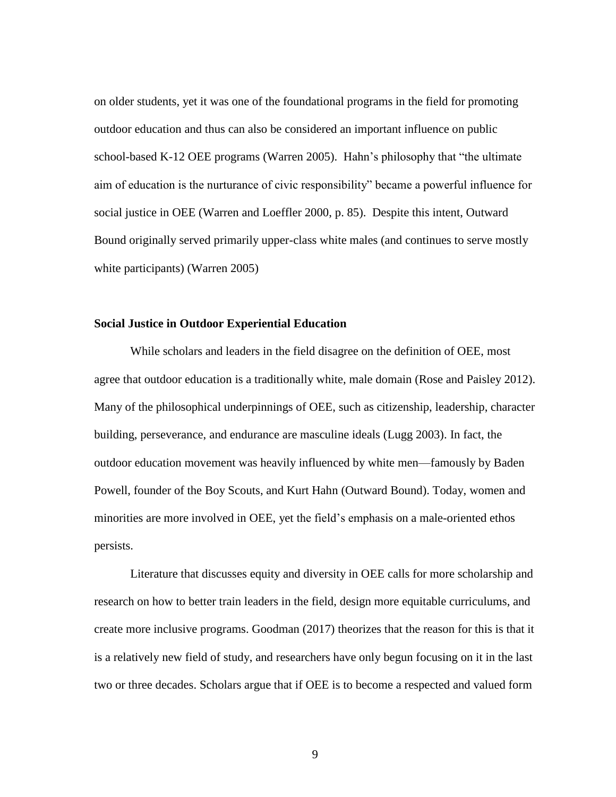on older students, yet it was one of the foundational programs in the field for promoting outdoor education and thus can also be considered an important influence on public school-based K-12 OEE programs (Warren 2005). Hahn's philosophy that "the ultimate aim of education is the nurturance of civic responsibility" became a powerful influence for social justice in OEE (Warren and Loeffler 2000, p. 85). Despite this intent, Outward Bound originally served primarily upper-class white males (and continues to serve mostly white participants) (Warren 2005)

#### **Social Justice in Outdoor Experiential Education**

While scholars and leaders in the field disagree on the definition of OEE, most agree that outdoor education is a traditionally white, male domain (Rose and Paisley 2012). Many of the philosophical underpinnings of OEE, such as citizenship, leadership, character building, perseverance, and endurance are masculine ideals (Lugg 2003). In fact, the outdoor education movement was heavily influenced by white men—famously by Baden Powell, founder of the Boy Scouts, and Kurt Hahn (Outward Bound). Today, women and minorities are more involved in OEE, yet the field's emphasis on a male-oriented ethos persists.

Literature that discusses equity and diversity in OEE calls for more scholarship and research on how to better train leaders in the field, design more equitable curriculums, and create more inclusive programs. Goodman (2017) theorizes that the reason for this is that it is a relatively new field of study, and researchers have only begun focusing on it in the last two or three decades. Scholars argue that if OEE is to become a respected and valued form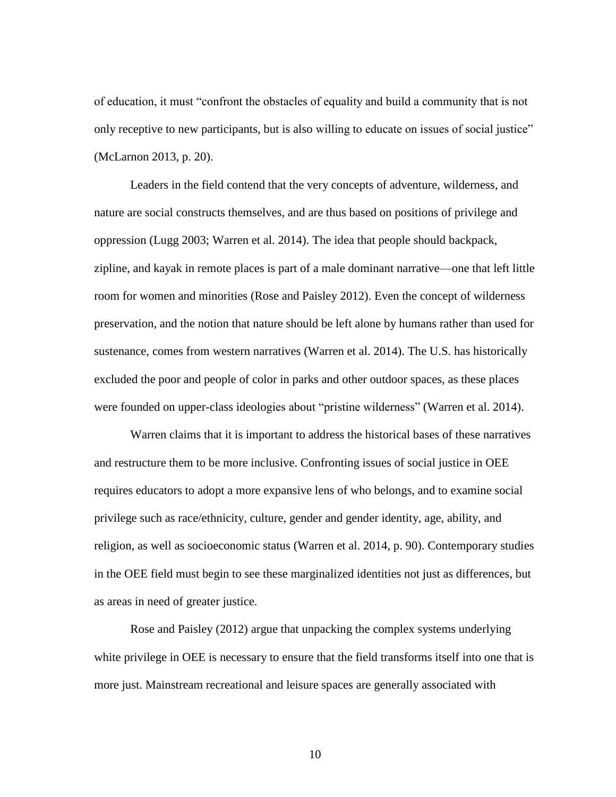of education, it must "confront the obstacles of equality and build a community that is not only receptive to new participants, but is also willing to educate on issues of social justice" (McLarnon 2013, p. 20).

Leaders in the field contend that the very concepts of adventure, wilderness, and nature are social constructs themselves, and are thus based on positions of privilege and oppression (Lugg 2003; Warren et al. 2014). The idea that people should backpack, zipline, and kayak in remote places is part of a male dominant narrative—one that left little room for women and minorities (Rose and Paisley 2012). Even the concept of wilderness preservation, and the notion that nature should be left alone by humans rather than used for sustenance, comes from western narratives (Warren et al. 2014). The U.S. has historically excluded the poor and people of color in parks and other outdoor spaces, as these places were founded on upper-class ideologies about "pristine wilderness" (Warren et al. 2014).

Warren claims that it is important to address the historical bases of these narratives and restructure them to be more inclusive. Confronting issues of social justice in OEE requires educators to adopt a more expansive lens of who belongs, and to examine social privilege such as race/ethnicity, culture, gender and gender identity, age, ability, and religion, as well as socioeconomic status (Warren et al. 2014, p. 90). Contemporary studies in the OEE field must begin to see these marginalized identities not just as differences, but as areas in need of greater justice.

Rose and Paisley (2012) argue that unpacking the complex systems underlying white privilege in OEE is necessary to ensure that the field transforms itself into one that is more just. Mainstream recreational and leisure spaces are generally associated with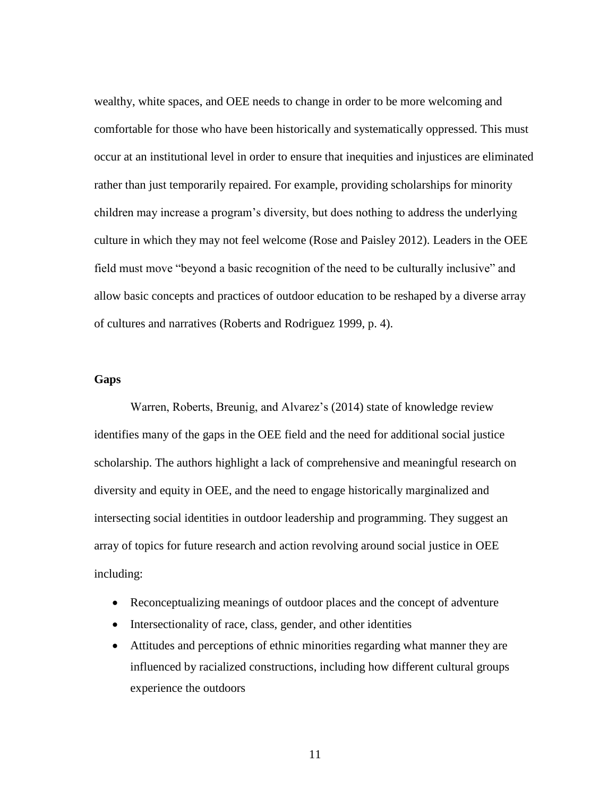wealthy, white spaces, and OEE needs to change in order to be more welcoming and comfortable for those who have been historically and systematically oppressed. This must occur at an institutional level in order to ensure that inequities and injustices are eliminated rather than just temporarily repaired. For example, providing scholarships for minority children may increase a program's diversity, but does nothing to address the underlying culture in which they may not feel welcome (Rose and Paisley 2012). Leaders in the OEE field must move "beyond a basic recognition of the need to be culturally inclusive" and allow basic concepts and practices of outdoor education to be reshaped by a diverse array of cultures and narratives (Roberts and Rodriguez 1999, p. 4).

#### **Gaps**

Warren, Roberts, Breunig, and Alvarez's (2014) state of knowledge review identifies many of the gaps in the OEE field and the need for additional social justice scholarship. The authors highlight a lack of comprehensive and meaningful research on diversity and equity in OEE, and the need to engage historically marginalized and intersecting social identities in outdoor leadership and programming. They suggest an array of topics for future research and action revolving around social justice in OEE including:

- Reconceptualizing meanings of outdoor places and the concept of adventure
- Intersectionality of race, class, gender, and other identities
- Attitudes and perceptions of ethnic minorities regarding what manner they are influenced by racialized constructions, including how different cultural groups experience the outdoors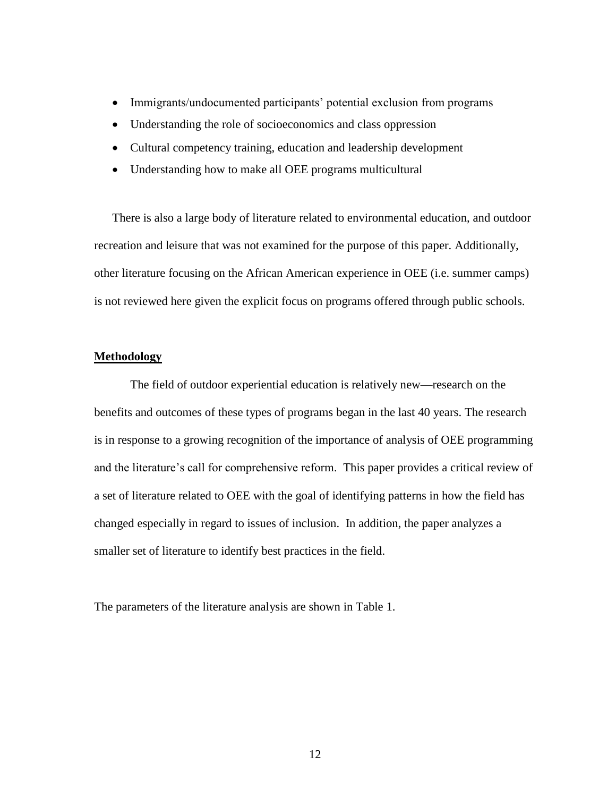- Immigrants/undocumented participants' potential exclusion from programs
- Understanding the role of socioeconomics and class oppression
- Cultural competency training, education and leadership development
- Understanding how to make all OEE programs multicultural

There is also a large body of literature related to environmental education, and outdoor recreation and leisure that was not examined for the purpose of this paper. Additionally, other literature focusing on the African American experience in OEE (i.e. summer camps) is not reviewed here given the explicit focus on programs offered through public schools.

#### **Methodology**

The field of outdoor experiential education is relatively new—research on the benefits and outcomes of these types of programs began in the last 40 years. The research is in response to a growing recognition of the importance of analysis of OEE programming and the literature's call for comprehensive reform. This paper provides a critical review of a set of literature related to OEE with the goal of identifying patterns in how the field has changed especially in regard to issues of inclusion. In addition, the paper analyzes a smaller set of literature to identify best practices in the field.

The parameters of the literature analysis are shown in Table 1.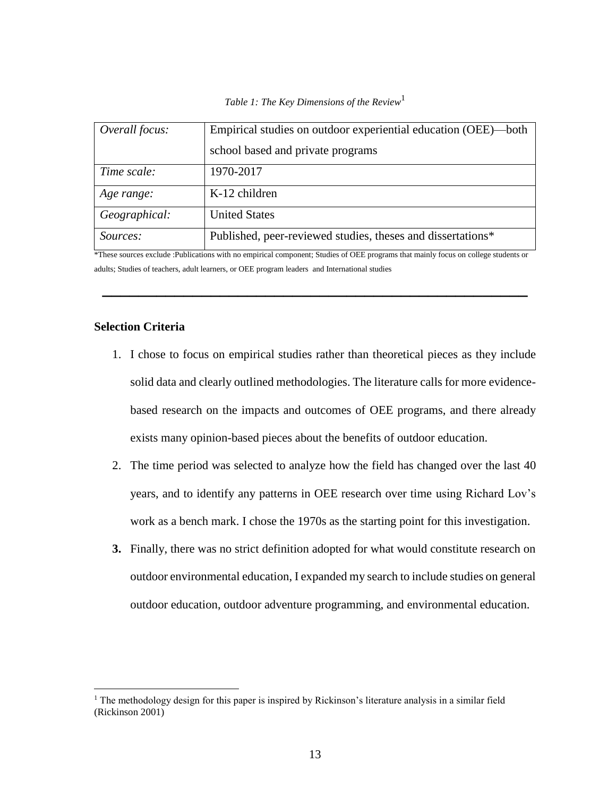|  |  |  |  | Table 1: The Key Dimensions of the Review <sup>1</sup> |  |  |
|--|--|--|--|--------------------------------------------------------|--|--|
|--|--|--|--|--------------------------------------------------------|--|--|

| Overall focus:  | Empirical studies on outdoor experiential education (OEE)—both |
|-----------------|----------------------------------------------------------------|
|                 | school based and private programs                              |
| Time scale:     | 1970-2017                                                      |
| Age range:      | K-12 children                                                  |
| Geographical:   | <b>United States</b>                                           |
| <i>Sources:</i> | Published, peer-reviewed studies, theses and dissertations*    |

\*These sources exclude :Publications with no empirical component; Studies of OEE programs that mainly focus on college students or adults; Studies of teachers, adult learners, or OEE program leaders and International studies

**\_\_\_\_\_\_\_\_\_\_\_\_\_\_\_\_\_\_\_\_\_\_\_\_\_\_\_\_\_\_\_\_\_\_\_\_\_\_\_\_\_\_\_\_\_\_\_**

#### **Selection Criteria**

 $\overline{a}$ 

- 1. I chose to focus on empirical studies rather than theoretical pieces as they include solid data and clearly outlined methodologies. The literature calls for more evidencebased research on the impacts and outcomes of OEE programs, and there already exists many opinion-based pieces about the benefits of outdoor education.
- 2. The time period was selected to analyze how the field has changed over the last 40 years, and to identify any patterns in OEE research over time using Richard Lov's work as a bench mark. I chose the 1970s as the starting point for this investigation.
- **3.** Finally, there was no strict definition adopted for what would constitute research on outdoor environmental education, I expanded my search to include studies on general outdoor education, outdoor adventure programming, and environmental education.

<sup>&</sup>lt;sup>1</sup> The methodology design for this paper is inspired by Rickinson's literature analysis in a similar field (Rickinson 2001)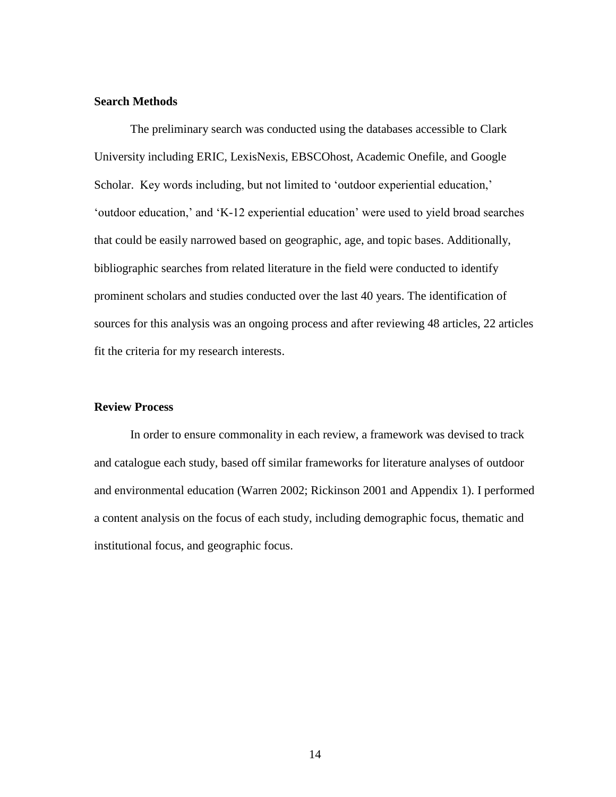#### **Search Methods**

The preliminary search was conducted using the databases accessible to Clark University including ERIC, LexisNexis, EBSCOhost, Academic Onefile, and Google Scholar. Key words including, but not limited to 'outdoor experiential education,' 'outdoor education,' and 'K-12 experiential education' were used to yield broad searches that could be easily narrowed based on geographic, age, and topic bases. Additionally, bibliographic searches from related literature in the field were conducted to identify prominent scholars and studies conducted over the last 40 years. The identification of sources for this analysis was an ongoing process and after reviewing 48 articles, 22 articles fit the criteria for my research interests.

#### **Review Process**

In order to ensure commonality in each review, a framework was devised to track and catalogue each study, based off similar frameworks for literature analyses of outdoor and environmental education (Warren 2002; Rickinson 2001 and Appendix 1). I performed a content analysis on the focus of each study, including demographic focus, thematic and institutional focus, and geographic focus.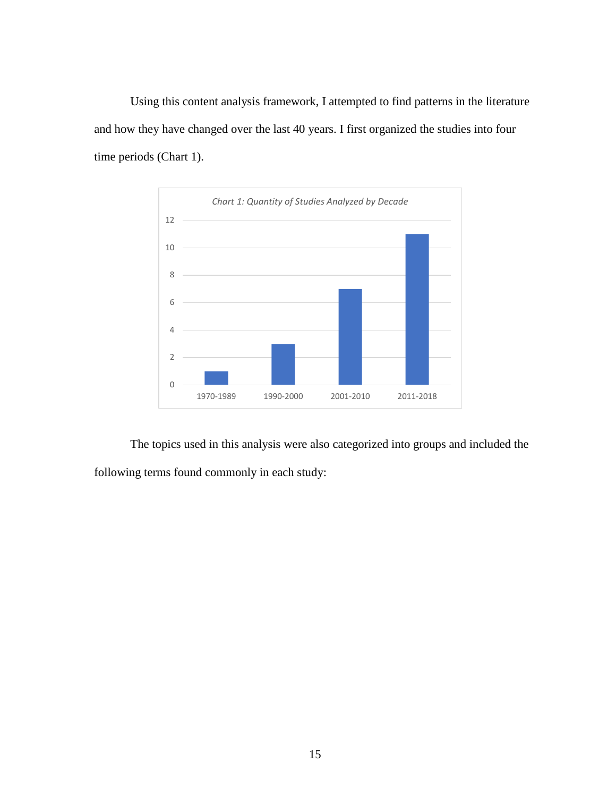Using this content analysis framework, I attempted to find patterns in the literature and how they have changed over the last 40 years. I first organized the studies into four time periods (Chart 1).



The topics used in this analysis were also categorized into groups and included the following terms found commonly in each study: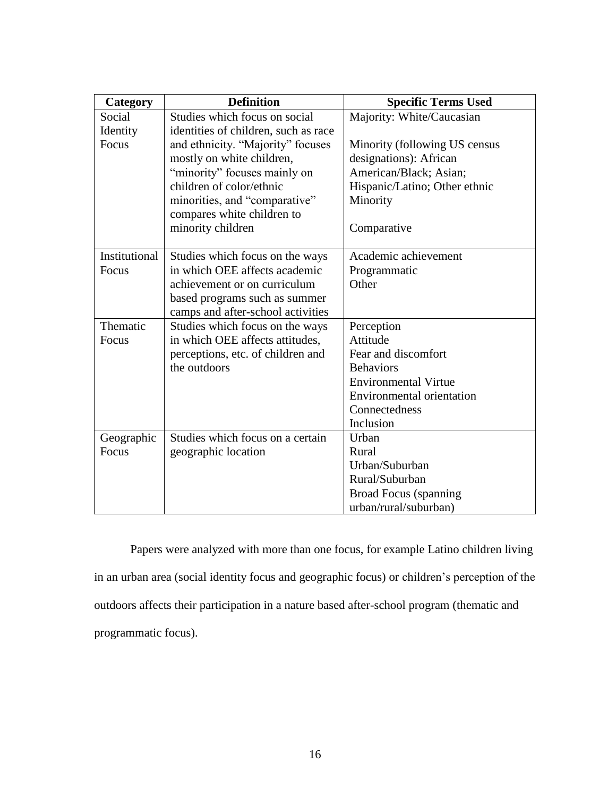| Category      | <b>Definition</b>                    | <b>Specific Terms Used</b>       |
|---------------|--------------------------------------|----------------------------------|
| Social        | Studies which focus on social        | Majority: White/Caucasian        |
| Identity      | identities of children, such as race |                                  |
| Focus         | and ethnicity. "Majority" focuses    | Minority (following US census    |
|               | mostly on white children,            | designations): African           |
|               | "minority" focuses mainly on         | American/Black; Asian;           |
|               | children of color/ethnic             | Hispanic/Latino; Other ethnic    |
|               | minorities, and "comparative"        | Minority                         |
|               | compares white children to           |                                  |
|               | minority children                    | Comparative                      |
|               |                                      |                                  |
| Institutional | Studies which focus on the ways      | Academic achievement             |
| Focus         | in which OEE affects academic        | Programmatic                     |
|               | achievement or on curriculum         | Other                            |
|               | based programs such as summer        |                                  |
|               | camps and after-school activities    |                                  |
| Thematic      | Studies which focus on the ways      | Perception                       |
| Focus         | in which OEE affects attitudes,      | Attitude                         |
|               | perceptions, etc. of children and    | Fear and discomfort              |
|               | the outdoors                         | <b>Behaviors</b>                 |
|               |                                      | <b>Environmental Virtue</b>      |
|               |                                      | <b>Environmental orientation</b> |
|               |                                      | Connectedness                    |
|               |                                      | Inclusion                        |
| Geographic    | Studies which focus on a certain     | Urban                            |
| Focus         | geographic location                  | Rural                            |
|               |                                      | Urban/Suburban                   |
|               |                                      | Rural/Suburban                   |
|               |                                      | <b>Broad Focus</b> (spanning     |
|               |                                      | urban/rural/suburban)            |

Papers were analyzed with more than one focus, for example Latino children living in an urban area (social identity focus and geographic focus) or children's perception of the outdoors affects their participation in a nature based after-school program (thematic and programmatic focus).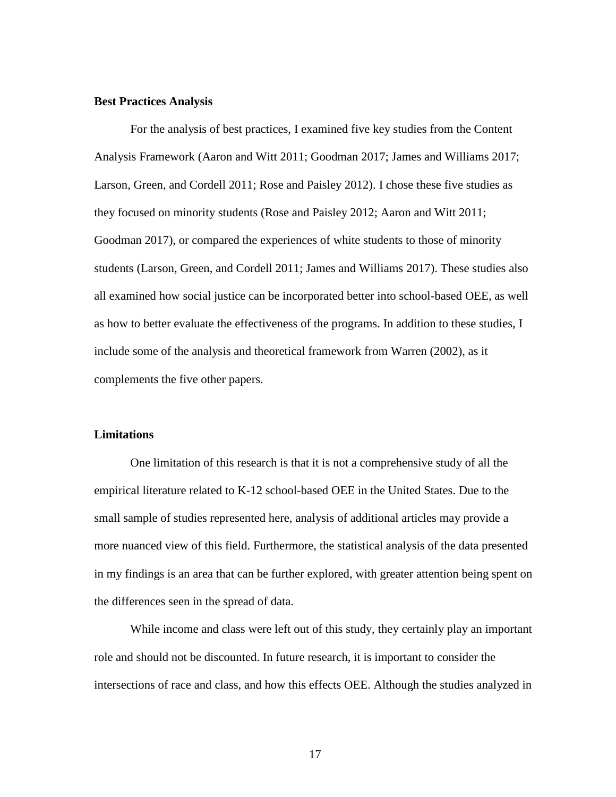#### **Best Practices Analysis**

For the analysis of best practices, I examined five key studies from the Content Analysis Framework (Aaron and Witt 2011; Goodman 2017; James and Williams 2017; Larson, Green, and Cordell 2011; Rose and Paisley 2012). I chose these five studies as they focused on minority students (Rose and Paisley 2012; Aaron and Witt 2011; Goodman 2017), or compared the experiences of white students to those of minority students (Larson, Green, and Cordell 2011; James and Williams 2017). These studies also all examined how social justice can be incorporated better into school-based OEE, as well as how to better evaluate the effectiveness of the programs. In addition to these studies, I include some of the analysis and theoretical framework from Warren (2002), as it complements the five other papers.

#### **Limitations**

One limitation of this research is that it is not a comprehensive study of all the empirical literature related to K-12 school-based OEE in the United States. Due to the small sample of studies represented here, analysis of additional articles may provide a more nuanced view of this field. Furthermore, the statistical analysis of the data presented in my findings is an area that can be further explored, with greater attention being spent on the differences seen in the spread of data.

While income and class were left out of this study, they certainly play an important role and should not be discounted. In future research, it is important to consider the intersections of race and class, and how this effects OEE. Although the studies analyzed in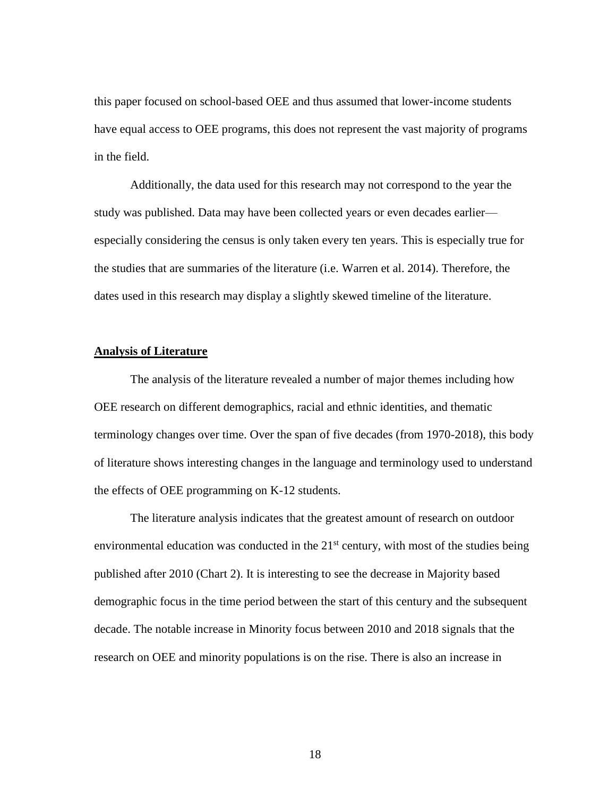this paper focused on school-based OEE and thus assumed that lower-income students have equal access to OEE programs, this does not represent the vast majority of programs in the field.

Additionally, the data used for this research may not correspond to the year the study was published. Data may have been collected years or even decades earlier especially considering the census is only taken every ten years. This is especially true for the studies that are summaries of the literature (i.e. Warren et al. 2014). Therefore, the dates used in this research may display a slightly skewed timeline of the literature.

#### **Analysis of Literature**

The analysis of the literature revealed a number of major themes including how OEE research on different demographics, racial and ethnic identities, and thematic terminology changes over time. Over the span of five decades (from 1970-2018), this body of literature shows interesting changes in the language and terminology used to understand the effects of OEE programming on K-12 students.

The literature analysis indicates that the greatest amount of research on outdoor environmental education was conducted in the  $21<sup>st</sup>$  century, with most of the studies being published after 2010 (Chart 2). It is interesting to see the decrease in Majority based demographic focus in the time period between the start of this century and the subsequent decade. The notable increase in Minority focus between 2010 and 2018 signals that the research on OEE and minority populations is on the rise. There is also an increase in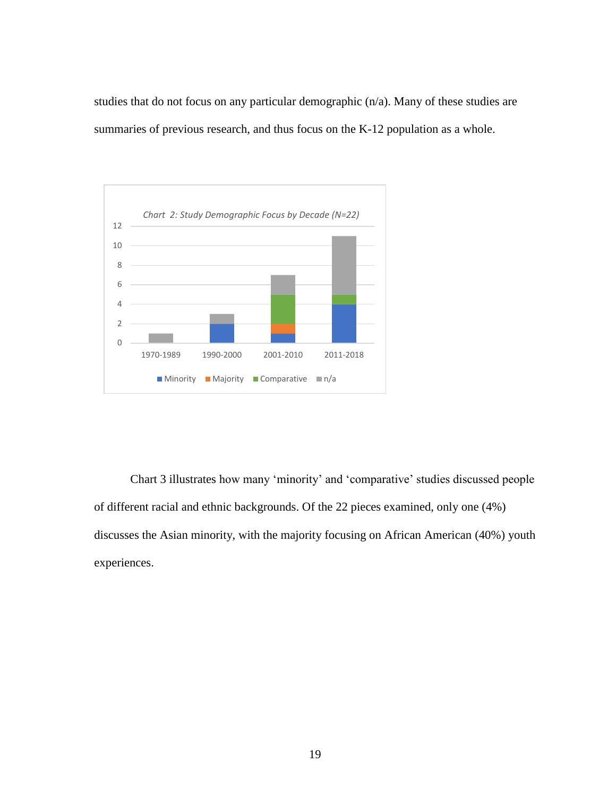studies that do not focus on any particular demographic (n/a). Many of these studies are summaries of previous research, and thus focus on the K-12 population as a whole.



Chart 3 illustrates how many 'minority' and 'comparative' studies discussed people of different racial and ethnic backgrounds. Of the 22 pieces examined, only one (4%) discusses the Asian minority, with the majority focusing on African American (40%) youth experiences.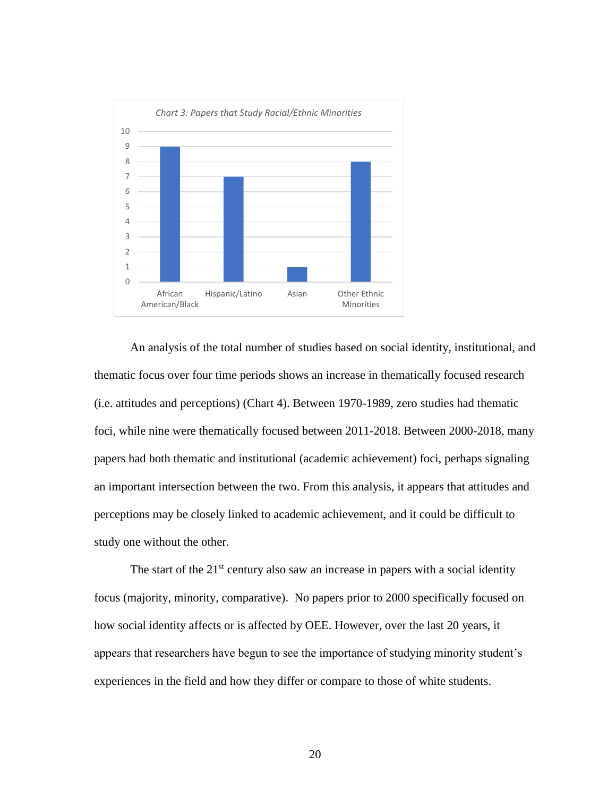

An analysis of the total number of studies based on social identity, institutional, and thematic focus over four time periods shows an increase in thematically focused research (i.e. attitudes and perceptions) (Chart 4). Between 1970-1989, zero studies had thematic foci, while nine were thematically focused between 2011-2018. Between 2000-2018, many papers had both thematic and institutional (academic achievement) foci, perhaps signaling an important intersection between the two. From this analysis, it appears that attitudes and perceptions may be closely linked to academic achievement, and it could be difficult to study one without the other.

The start of the  $21<sup>st</sup>$  century also saw an increase in papers with a social identity focus (majority, minority, comparative). No papers prior to 2000 specifically focused on how social identity affects or is affected by OEE. However, over the last 20 years, it appears that researchers have begun to see the importance of studying minority student's experiences in the field and how they differ or compare to those of white students.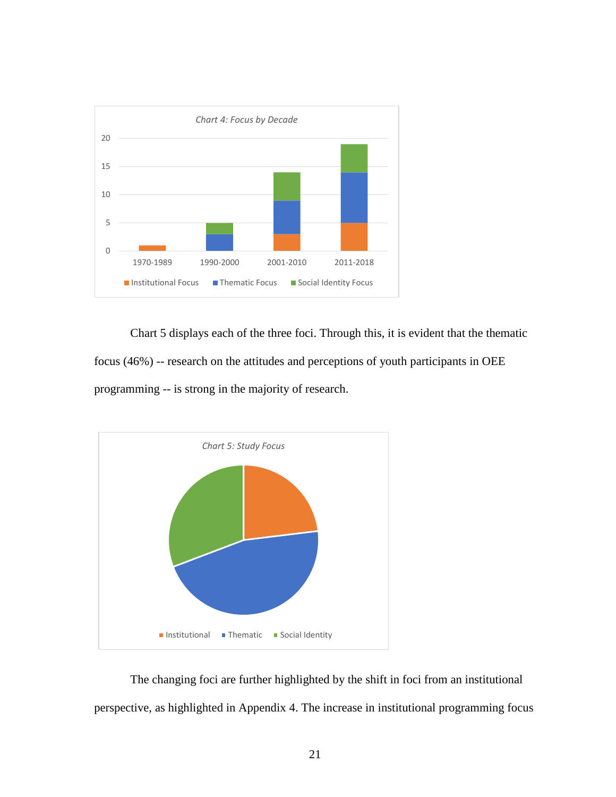

Chart 5 displays each of the three foci. Through this, it is evident that the thematic focus (46%) -- research on the attitudes and perceptions of youth participants in OEE programming -- is strong in the majority of research.



The changing foci are further highlighted by the shift in foci from an institutional perspective, as highlighted in Appendix 4. The increase in institutional programming focus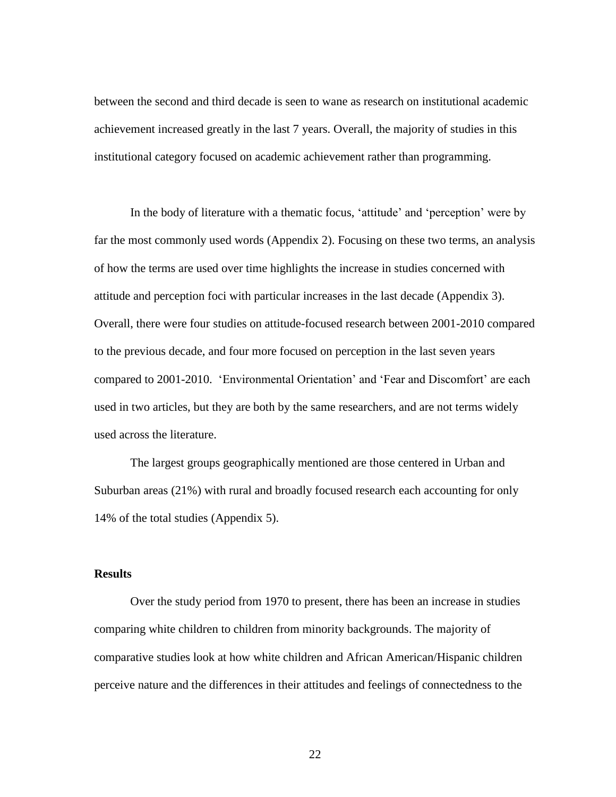between the second and third decade is seen to wane as research on institutional academic achievement increased greatly in the last 7 years. Overall, the majority of studies in this institutional category focused on academic achievement rather than programming.

In the body of literature with a thematic focus, 'attitude' and 'perception' were by far the most commonly used words (Appendix 2). Focusing on these two terms, an analysis of how the terms are used over time highlights the increase in studies concerned with attitude and perception foci with particular increases in the last decade (Appendix 3). Overall, there were four studies on attitude-focused research between 2001-2010 compared to the previous decade, and four more focused on perception in the last seven years compared to 2001-2010. 'Environmental Orientation' and 'Fear and Discomfort' are each used in two articles, but they are both by the same researchers, and are not terms widely used across the literature.

The largest groups geographically mentioned are those centered in Urban and Suburban areas (21%) with rural and broadly focused research each accounting for only 14% of the total studies (Appendix 5).

#### **Results**

Over the study period from 1970 to present, there has been an increase in studies comparing white children to children from minority backgrounds. The majority of comparative studies look at how white children and African American/Hispanic children perceive nature and the differences in their attitudes and feelings of connectedness to the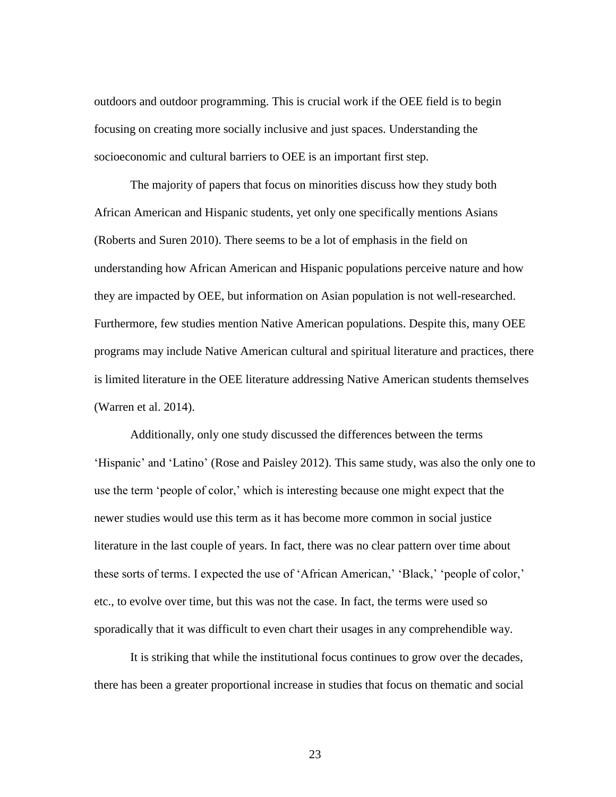outdoors and outdoor programming. This is crucial work if the OEE field is to begin focusing on creating more socially inclusive and just spaces. Understanding the socioeconomic and cultural barriers to OEE is an important first step.

The majority of papers that focus on minorities discuss how they study both African American and Hispanic students, yet only one specifically mentions Asians (Roberts and Suren 2010). There seems to be a lot of emphasis in the field on understanding how African American and Hispanic populations perceive nature and how they are impacted by OEE, but information on Asian population is not well-researched. Furthermore, few studies mention Native American populations. Despite this, many OEE programs may include Native American cultural and spiritual literature and practices, there is limited literature in the OEE literature addressing Native American students themselves (Warren et al. 2014).

Additionally, only one study discussed the differences between the terms 'Hispanic' and 'Latino' (Rose and Paisley 2012). This same study, was also the only one to use the term 'people of color,' which is interesting because one might expect that the newer studies would use this term as it has become more common in social justice literature in the last couple of years. In fact, there was no clear pattern over time about these sorts of terms. I expected the use of 'African American,' 'Black,' 'people of color,' etc., to evolve over time, but this was not the case. In fact, the terms were used so sporadically that it was difficult to even chart their usages in any comprehendible way.

It is striking that while the institutional focus continues to grow over the decades, there has been a greater proportional increase in studies that focus on thematic and social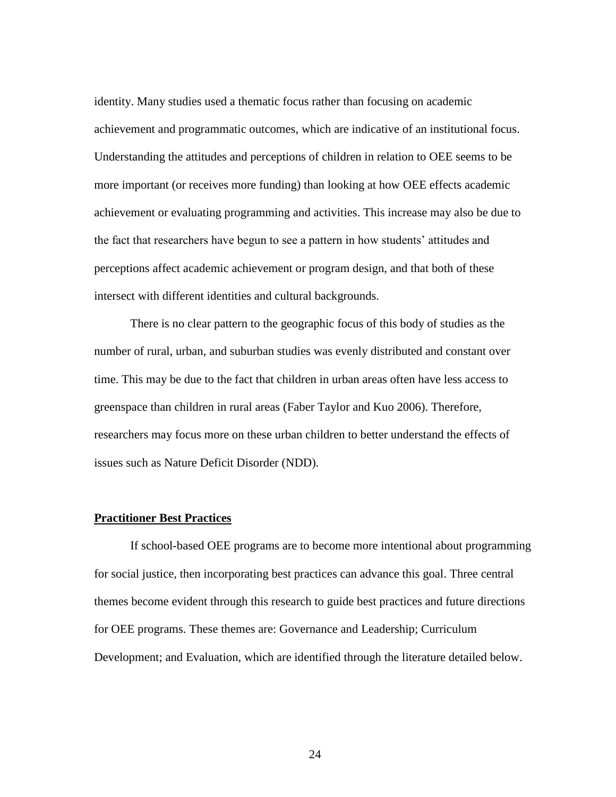identity. Many studies used a thematic focus rather than focusing on academic achievement and programmatic outcomes, which are indicative of an institutional focus. Understanding the attitudes and perceptions of children in relation to OEE seems to be more important (or receives more funding) than looking at how OEE effects academic achievement or evaluating programming and activities. This increase may also be due to the fact that researchers have begun to see a pattern in how students' attitudes and perceptions affect academic achievement or program design, and that both of these intersect with different identities and cultural backgrounds.

There is no clear pattern to the geographic focus of this body of studies as the number of rural, urban, and suburban studies was evenly distributed and constant over time. This may be due to the fact that children in urban areas often have less access to greenspace than children in rural areas (Faber Taylor and Kuo 2006). Therefore, researchers may focus more on these urban children to better understand the effects of issues such as Nature Deficit Disorder (NDD).

#### **Practitioner Best Practices**

If school-based OEE programs are to become more intentional about programming for social justice, then incorporating best practices can advance this goal. Three central themes become evident through this research to guide best practices and future directions for OEE programs. These themes are: Governance and Leadership; Curriculum Development; and Evaluation, which are identified through the literature detailed below.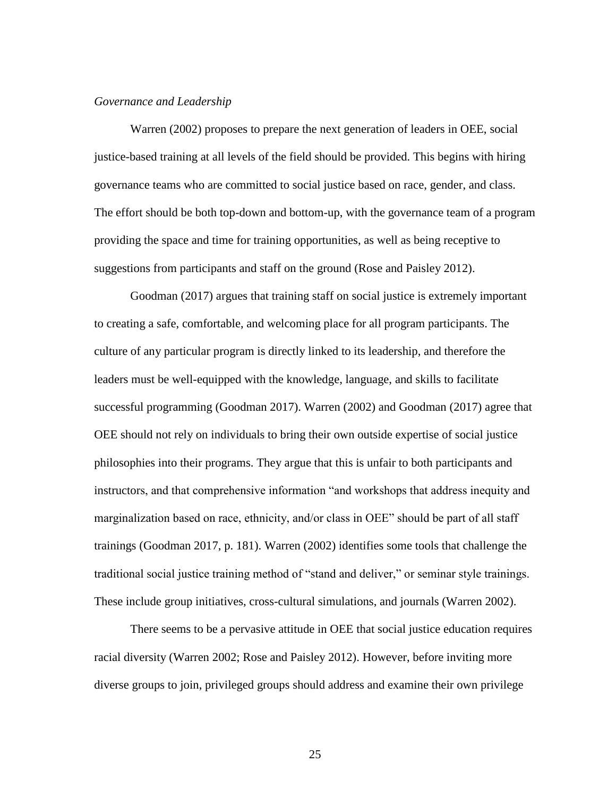#### *Governance and Leadership*

Warren (2002) proposes to prepare the next generation of leaders in OEE, social justice-based training at all levels of the field should be provided. This begins with hiring governance teams who are committed to social justice based on race, gender, and class. The effort should be both top-down and bottom-up, with the governance team of a program providing the space and time for training opportunities, as well as being receptive to suggestions from participants and staff on the ground (Rose and Paisley 2012).

Goodman (2017) argues that training staff on social justice is extremely important to creating a safe, comfortable, and welcoming place for all program participants. The culture of any particular program is directly linked to its leadership, and therefore the leaders must be well-equipped with the knowledge, language, and skills to facilitate successful programming (Goodman 2017). Warren (2002) and Goodman (2017) agree that OEE should not rely on individuals to bring their own outside expertise of social justice philosophies into their programs. They argue that this is unfair to both participants and instructors, and that comprehensive information "and workshops that address inequity and marginalization based on race, ethnicity, and/or class in OEE" should be part of all staff trainings (Goodman 2017, p. 181). Warren (2002) identifies some tools that challenge the traditional social justice training method of "stand and deliver," or seminar style trainings. These include group initiatives, cross-cultural simulations, and journals (Warren 2002).

There seems to be a pervasive attitude in OEE that social justice education requires racial diversity (Warren 2002; Rose and Paisley 2012). However, before inviting more diverse groups to join, privileged groups should address and examine their own privilege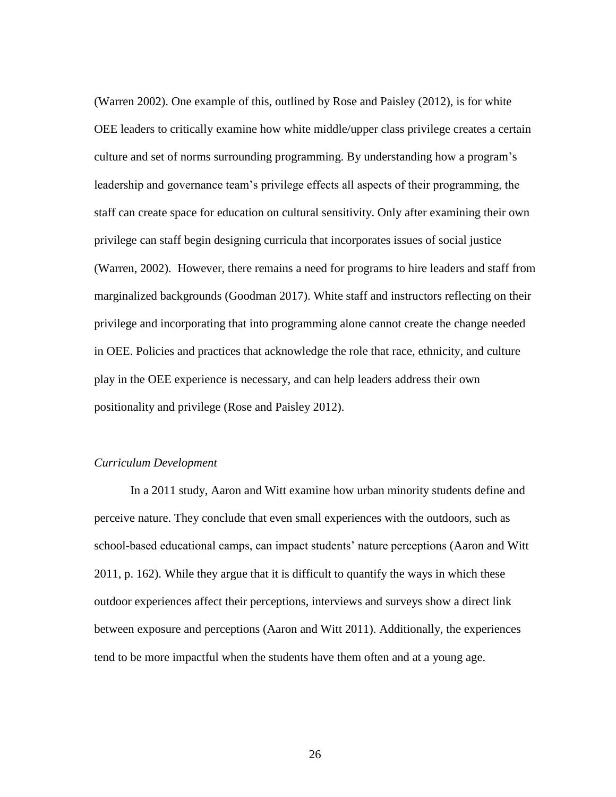(Warren 2002). One example of this, outlined by Rose and Paisley (2012), is for white OEE leaders to critically examine how white middle/upper class privilege creates a certain culture and set of norms surrounding programming. By understanding how a program's leadership and governance team's privilege effects all aspects of their programming, the staff can create space for education on cultural sensitivity. Only after examining their own privilege can staff begin designing curricula that incorporates issues of social justice (Warren, 2002). However, there remains a need for programs to hire leaders and staff from marginalized backgrounds (Goodman 2017). White staff and instructors reflecting on their privilege and incorporating that into programming alone cannot create the change needed in OEE. Policies and practices that acknowledge the role that race, ethnicity, and culture play in the OEE experience is necessary, and can help leaders address their own positionality and privilege (Rose and Paisley 2012).

#### *Curriculum Development*

In a 2011 study, Aaron and Witt examine how urban minority students define and perceive nature. They conclude that even small experiences with the outdoors, such as school-based educational camps, can impact students' nature perceptions (Aaron and Witt 2011, p. 162). While they argue that it is difficult to quantify the ways in which these outdoor experiences affect their perceptions, interviews and surveys show a direct link between exposure and perceptions (Aaron and Witt 2011). Additionally, the experiences tend to be more impactful when the students have them often and at a young age.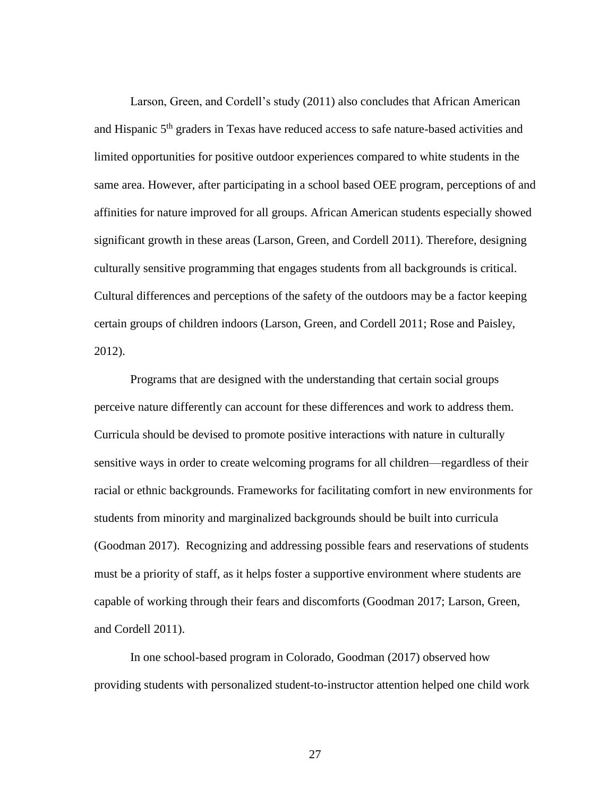Larson, Green, and Cordell's study (2011) also concludes that African American and Hispanic 5<sup>th</sup> graders in Texas have reduced access to safe nature-based activities and limited opportunities for positive outdoor experiences compared to white students in the same area. However, after participating in a school based OEE program, perceptions of and affinities for nature improved for all groups. African American students especially showed significant growth in these areas (Larson, Green, and Cordell 2011). Therefore, designing culturally sensitive programming that engages students from all backgrounds is critical. Cultural differences and perceptions of the safety of the outdoors may be a factor keeping certain groups of children indoors (Larson, Green, and Cordell 2011; Rose and Paisley, 2012).

Programs that are designed with the understanding that certain social groups perceive nature differently can account for these differences and work to address them. Curricula should be devised to promote positive interactions with nature in culturally sensitive ways in order to create welcoming programs for all children—regardless of their racial or ethnic backgrounds. Frameworks for facilitating comfort in new environments for students from minority and marginalized backgrounds should be built into curricula (Goodman 2017). Recognizing and addressing possible fears and reservations of students must be a priority of staff, as it helps foster a supportive environment where students are capable of working through their fears and discomforts (Goodman 2017; Larson, Green, and Cordell 2011).

In one school-based program in Colorado, Goodman (2017) observed how providing students with personalized student-to-instructor attention helped one child work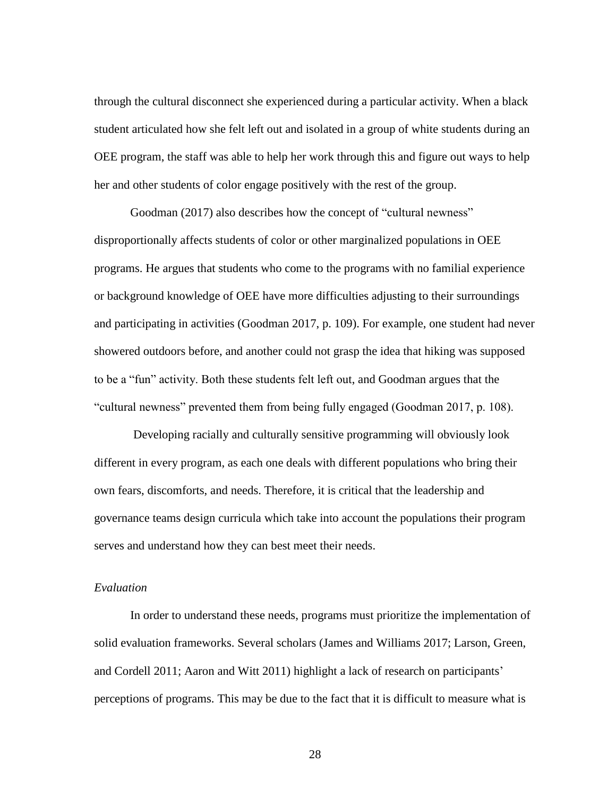through the cultural disconnect she experienced during a particular activity. When a black student articulated how she felt left out and isolated in a group of white students during an OEE program, the staff was able to help her work through this and figure out ways to help her and other students of color engage positively with the rest of the group.

Goodman (2017) also describes how the concept of "cultural newness" disproportionally affects students of color or other marginalized populations in OEE programs. He argues that students who come to the programs with no familial experience or background knowledge of OEE have more difficulties adjusting to their surroundings and participating in activities (Goodman 2017, p. 109). For example, one student had never showered outdoors before, and another could not grasp the idea that hiking was supposed to be a "fun" activity. Both these students felt left out, and Goodman argues that the "cultural newness" prevented them from being fully engaged (Goodman 2017, p. 108).

Developing racially and culturally sensitive programming will obviously look different in every program, as each one deals with different populations who bring their own fears, discomforts, and needs. Therefore, it is critical that the leadership and governance teams design curricula which take into account the populations their program serves and understand how they can best meet their needs.

#### *Evaluation*

In order to understand these needs, programs must prioritize the implementation of solid evaluation frameworks. Several scholars (James and Williams 2017; Larson, Green, and Cordell 2011; Aaron and Witt 2011) highlight a lack of research on participants' perceptions of programs. This may be due to the fact that it is difficult to measure what is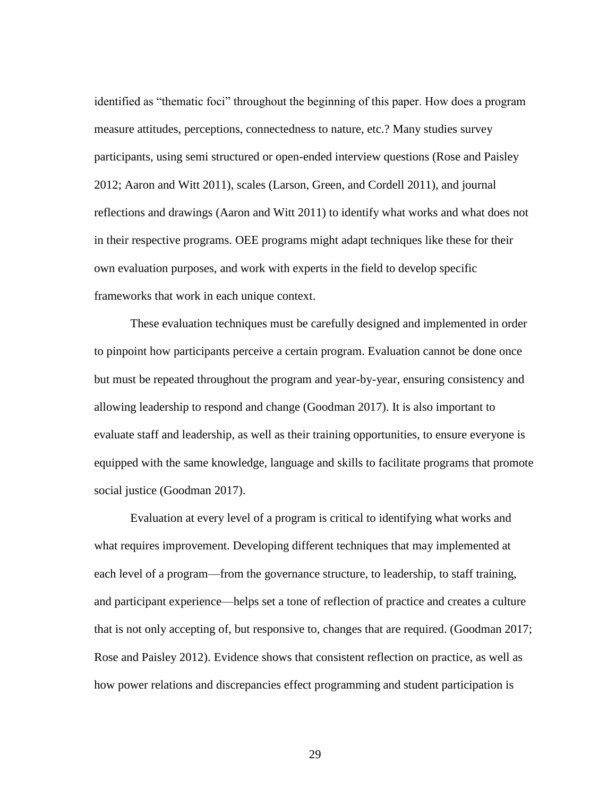identified as "thematic foci" throughout the beginning of this paper. How does a program measure attitudes, perceptions, connectedness to nature, etc.? Many studies survey participants, using semi structured or open-ended interview questions (Rose and Paisley 2012; Aaron and Witt 2011), scales (Larson, Green, and Cordell 2011), and journal reflections and drawings (Aaron and Witt 2011) to identify what works and what does not in their respective programs. OEE programs might adapt techniques like these for their own evaluation purposes, and work with experts in the field to develop specific frameworks that work in each unique context.

These evaluation techniques must be carefully designed and implemented in order to pinpoint how participants perceive a certain program. Evaluation cannot be done once but must be repeated throughout the program and year-by-year, ensuring consistency and allowing leadership to respond and change (Goodman 2017). It is also important to evaluate staff and leadership, as well as their training opportunities, to ensure everyone is equipped with the same knowledge, language and skills to facilitate programs that promote social justice (Goodman 2017).

Evaluation at every level of a program is critical to identifying what works and what requires improvement. Developing different techniques that may implemented at each level of a program—from the governance structure, to leadership, to staff training, and participant experience—helps set a tone of reflection of practice and creates a culture that is not only accepting of, but responsive to, changes that are required. (Goodman 2017; Rose and Paisley 2012). Evidence shows that consistent reflection on practice, as well as how power relations and discrepancies effect programming and student participation is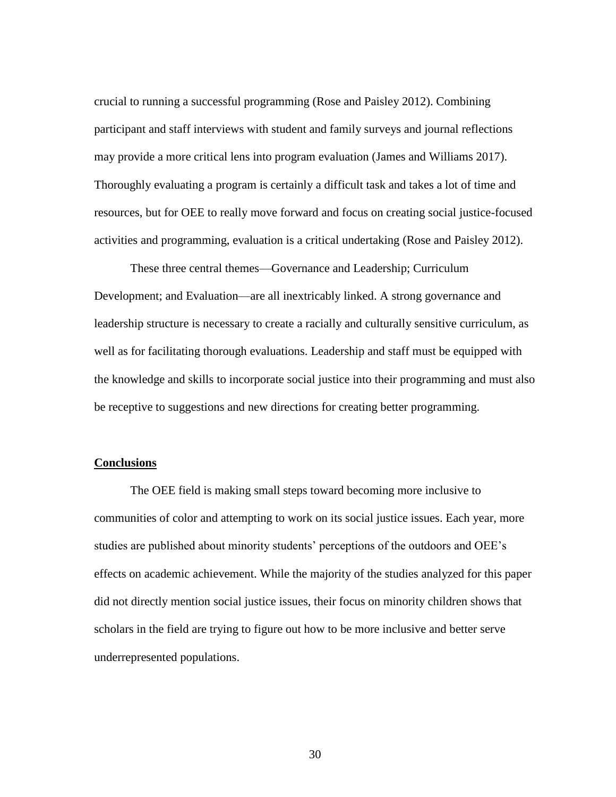crucial to running a successful programming (Rose and Paisley 2012). Combining participant and staff interviews with student and family surveys and journal reflections may provide a more critical lens into program evaluation (James and Williams 2017). Thoroughly evaluating a program is certainly a difficult task and takes a lot of time and resources, but for OEE to really move forward and focus on creating social justice-focused activities and programming, evaluation is a critical undertaking (Rose and Paisley 2012).

These three central themes—Governance and Leadership; Curriculum Development; and Evaluation—are all inextricably linked. A strong governance and leadership structure is necessary to create a racially and culturally sensitive curriculum, as well as for facilitating thorough evaluations. Leadership and staff must be equipped with the knowledge and skills to incorporate social justice into their programming and must also be receptive to suggestions and new directions for creating better programming.

#### **Conclusions**

The OEE field is making small steps toward becoming more inclusive to communities of color and attempting to work on its social justice issues. Each year, more studies are published about minority students' perceptions of the outdoors and OEE's effects on academic achievement. While the majority of the studies analyzed for this paper did not directly mention social justice issues, their focus on minority children shows that scholars in the field are trying to figure out how to be more inclusive and better serve underrepresented populations.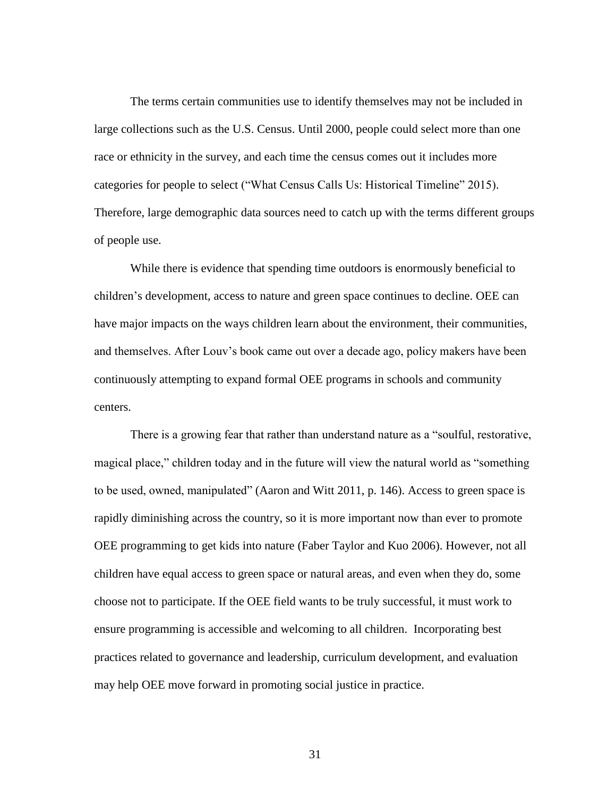The terms certain communities use to identify themselves may not be included in large collections such as the U.S. Census. Until 2000, people could select more than one race or ethnicity in the survey, and each time the census comes out it includes more categories for people to select ("What Census Calls Us: Historical Timeline" 2015). Therefore, large demographic data sources need to catch up with the terms different groups of people use.

While there is evidence that spending time outdoors is enormously beneficial to children's development, access to nature and green space continues to decline. OEE can have major impacts on the ways children learn about the environment, their communities, and themselves. After Louv's book came out over a decade ago, policy makers have been continuously attempting to expand formal OEE programs in schools and community centers.

There is a growing fear that rather than understand nature as a "soulful, restorative, magical place," children today and in the future will view the natural world as "something to be used, owned, manipulated" (Aaron and Witt 2011, p. 146). Access to green space is rapidly diminishing across the country, so it is more important now than ever to promote OEE programming to get kids into nature (Faber Taylor and Kuo 2006). However, not all children have equal access to green space or natural areas, and even when they do, some choose not to participate. If the OEE field wants to be truly successful, it must work to ensure programming is accessible and welcoming to all children. Incorporating best practices related to governance and leadership, curriculum development, and evaluation may help OEE move forward in promoting social justice in practice.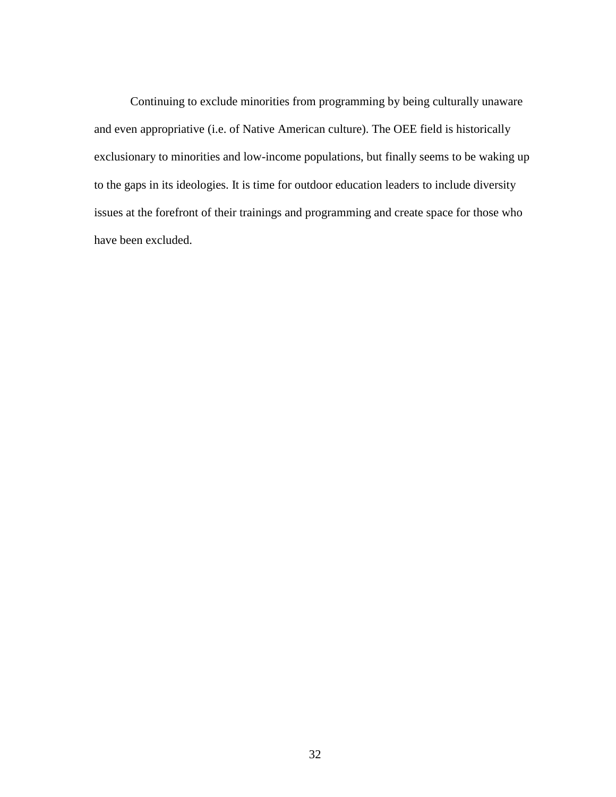Continuing to exclude minorities from programming by being culturally unaware and even appropriative (i.e. of Native American culture). The OEE field is historically exclusionary to minorities and low-income populations, but finally seems to be waking up to the gaps in its ideologies. It is time for outdoor education leaders to include diversity issues at the forefront of their trainings and programming and create space for those who have been excluded.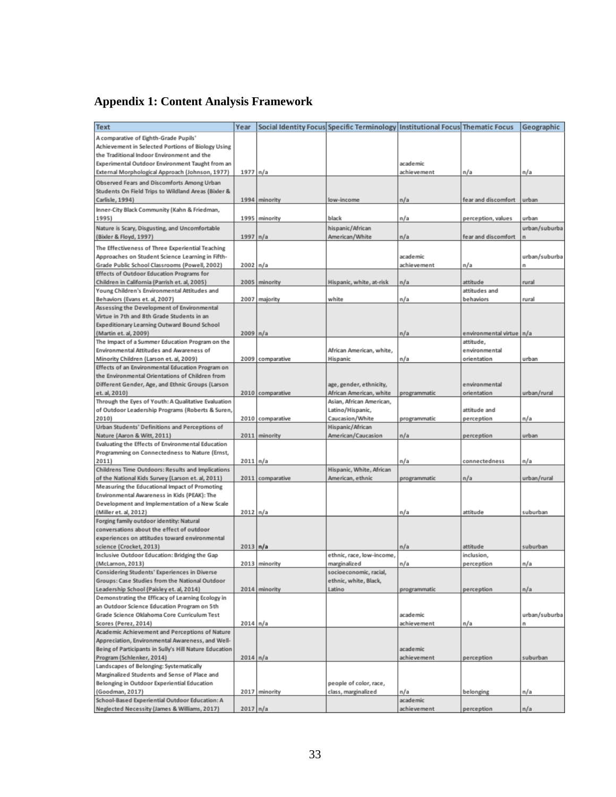## **Appendix 1: Content Analysis Framework**

| <b>Text</b>                                                                                | Year             |                  | Social Identity Focus  Specific Terminology   Institutional Focus  Thematic Focus |              |                            | Geographic    |
|--------------------------------------------------------------------------------------------|------------------|------------------|-----------------------------------------------------------------------------------|--------------|----------------------------|---------------|
| A comparative of Eighth-Grade Pupils'                                                      |                  |                  |                                                                                   |              |                            |               |
| Achievement in Selected Portions of Biology Using                                          |                  |                  |                                                                                   |              |                            |               |
| the Traditional Indoor Environment and the                                                 |                  |                  |                                                                                   |              |                            |               |
| Experimental Outdoor Environment Taught from an                                            |                  |                  |                                                                                   | academic     |                            |               |
| External Morphological Approach (Johnson, 1977)                                            | $1977$ n/a       |                  |                                                                                   | achievement  | n/a                        | n/a           |
| Observed Fears and Discomforts Among Urban                                                 |                  |                  |                                                                                   |              |                            |               |
| Students On Field Trips to Wildland Areas (Bixler &                                        |                  |                  |                                                                                   |              |                            |               |
| Carlisle, 1994)                                                                            |                  | 1994 minority    | low-income                                                                        | n/a          | fear and discomfort        | urban         |
|                                                                                            |                  |                  |                                                                                   |              |                            |               |
| Inner-City Black Community (Kahn & Friedman,<br>1995)                                      |                  | 1995 minority    | black                                                                             | n/a          | perception, values         | urban         |
|                                                                                            |                  |                  |                                                                                   |              |                            |               |
| Nature is Scary, Disgusting, and Uncomfortable                                             |                  |                  | hispanic/African                                                                  |              |                            | urban/suburba |
| (Bixler & Floyd, 1997)                                                                     | $1997 \vert n/a$ |                  | American/White                                                                    | n/a          | fear and discomfort        | n             |
| The Effectiveness of Three Experiential Teaching                                           |                  |                  |                                                                                   |              |                            |               |
| Approaches on Student Science Learning in Fifth-                                           |                  |                  |                                                                                   | acade mic    |                            | urban/suburba |
| Grade Public School Classrooms (Powell, 2002)                                              | 2002 n/a         |                  |                                                                                   | achievement  | n/a                        | n             |
| Effects of Outdoor Education Programs for                                                  |                  |                  |                                                                                   |              |                            |               |
| Children in California (Parrish et. al, 2005)                                              | 2005             | minority         | Hispanic, white, at-risk                                                          | n/a          | attitude                   | rural         |
| Young Children's Environmental Attitudes and                                               |                  |                  |                                                                                   |              | attitudes and              |               |
| Behaviors (Evans et. al, 2007)                                                             |                  | 2007 majority    | white                                                                             | n/a          | behaviors                  | rural         |
| Assessing the Development of Environmental                                                 |                  |                  |                                                                                   |              |                            |               |
| Virtue in 7th and 8th Grade Students in an                                                 |                  |                  |                                                                                   |              |                            |               |
| Expeditionary Learning Outward Bound School                                                |                  |                  |                                                                                   |              |                            |               |
| (Martin et. al, 2009)                                                                      | 2009 n/a         |                  |                                                                                   | n/a          | environmental virtue   n/a |               |
| The Impact of a Summer Education Program on the                                            |                  |                  |                                                                                   |              | attitude.                  |               |
| Environmental Attitudes and Awareness of                                                   |                  |                  | African American, white,                                                          |              | environmental              |               |
| Minority Children (Larson et. al, 2009)                                                    |                  | 2009 comparative | Hispanic                                                                          | n/a          | orientation                | urban         |
| Effects of an Environmental Education Program on                                           |                  |                  |                                                                                   |              |                            |               |
| the Environmental Orientations of Children from                                            |                  |                  |                                                                                   |              |                            |               |
| Different Gender, Age, and Ethnic Groups (Larson                                           |                  |                  | age, gender, ethnicity,                                                           |              | environmental              |               |
| et. al, 2010)                                                                              |                  | 2010 comparative | African American, white                                                           | programmatic | orientation                | urban/rural   |
| Through the Eyes of Youth: A Qualitative Evaluation                                        |                  |                  | Asian, African American,                                                          |              |                            |               |
| of Outdoor Leadership Programs (Roberts & Suren,                                           |                  |                  | Latino/Hispanic,                                                                  |              | attitude and               |               |
| 2010)                                                                                      |                  | 2010 comparative | Caucasion/White                                                                   | programmatic | perception                 | n/a           |
| Urban Students' Definitions and Perceptions of                                             |                  |                  | Hispanic/African                                                                  |              |                            |               |
| Nature (Aaron & Witt, 2011)                                                                |                  | 2011 minority    | American/Caucasion                                                                | n/a          | perception                 | urban         |
| Evaluating the Effects of Environmental Education                                          |                  |                  |                                                                                   |              |                            |               |
| Programming on Connectedness to Nature (Ernst,                                             |                  |                  |                                                                                   |              |                            |               |
| 2011)                                                                                      | 2011 n/a         |                  |                                                                                   | n/a          | connectedness              | n/a           |
| Childrens Time Outdoors: Results and Implications                                          |                  |                  | Hispanic, White, African                                                          |              |                            |               |
| of the National Kids Survey (Larson et. al, 2011)                                          |                  | 2011 comparative | American, ethnic                                                                  | programmatic | n/a                        | urban/rural   |
| Measuring the Educational Impact of Promoting                                              |                  |                  |                                                                                   |              |                            |               |
| Environmental Awareness in Kids (PEAK): The                                                |                  |                  |                                                                                   |              |                            |               |
| Development and Implementation of a New Scale                                              |                  |                  |                                                                                   |              |                            |               |
| (Miller et. al, 2012)                                                                      | 2012 n/a         |                  |                                                                                   | n/a          | attitude                   | suburban      |
| Forging family outdoor identity: Natural                                                   |                  |                  |                                                                                   |              |                            |               |
| conversations about the effect of outdoor                                                  |                  |                  |                                                                                   |              |                            |               |
| experiences on attitudes toward environmental                                              |                  |                  |                                                                                   |              |                            |               |
|                                                                                            | 2013 n/a         |                  |                                                                                   | n/a          | attitude                   | suburban      |
| science (Crocket, 2013)<br>Inclusive Outdoor Education: Bridging the Gap                   |                  |                  | ethnic, race, low-income,                                                         |              | inclusion,                 |               |
|                                                                                            |                  | 2013 minority    |                                                                                   |              |                            |               |
| (McLarnon, 2013)<br>Considering Students' Experiences in Diverse                           |                  |                  | marginalized                                                                      | n/a          | perception                 | n/a           |
|                                                                                            |                  |                  | socioeconomic, racial,                                                            |              |                            |               |
| Groups: Case Studies from the National Outdoor<br>Leadership School (Paisley et. al, 2014) |                  |                  | ethnic, white, Black,                                                             |              |                            |               |
|                                                                                            |                  | 2014 minority    | Latino                                                                            | programmatic | perception                 | n/a           |
| Demonstrating the Efficacy of Learning Ecology in                                          |                  |                  |                                                                                   |              |                            |               |
| an Outdoor Science Education Program on 5th                                                |                  |                  |                                                                                   |              |                            |               |
| Grade Science Oklahoma Core Curriculum Test                                                |                  |                  |                                                                                   | academic     |                            | urban/suburba |
| Scores (Perez, 2014)                                                                       | 2014 n/a         |                  |                                                                                   | achievement  | n/a                        | n             |
| Academic Achievement and Perceptions of Nature                                             |                  |                  |                                                                                   |              |                            |               |
| Appreciation, Environmental Awareness, and Well-                                           |                  |                  |                                                                                   |              |                            |               |
| Being of Participants in Sully's Hill Nature Education                                     |                  |                  |                                                                                   | academic     |                            |               |
| Program (Schlenker, 2014)                                                                  | 2014 n/a         |                  |                                                                                   | achievement  | perception                 | suburban      |
| Landscapes of Belonging: Systematically                                                    |                  |                  |                                                                                   |              |                            |               |
| Marginalized Students and Sense of Place and                                               |                  |                  |                                                                                   |              |                            |               |
| Belonging in Outdoor Experiential Education                                                |                  |                  | people of color, race,                                                            |              |                            |               |
| (Goodman, 2017)                                                                            |                  | 2017 minority    | class, marginalized                                                               | n/a          | belonging                  | n/a           |
| School-Based Experiential Outdoor Education: A                                             |                  |                  |                                                                                   | academic     |                            |               |
| Neglected Necessity (James & Williams, 2017)                                               | 2017 n/a         |                  |                                                                                   | achievement  | perception                 | n/a           |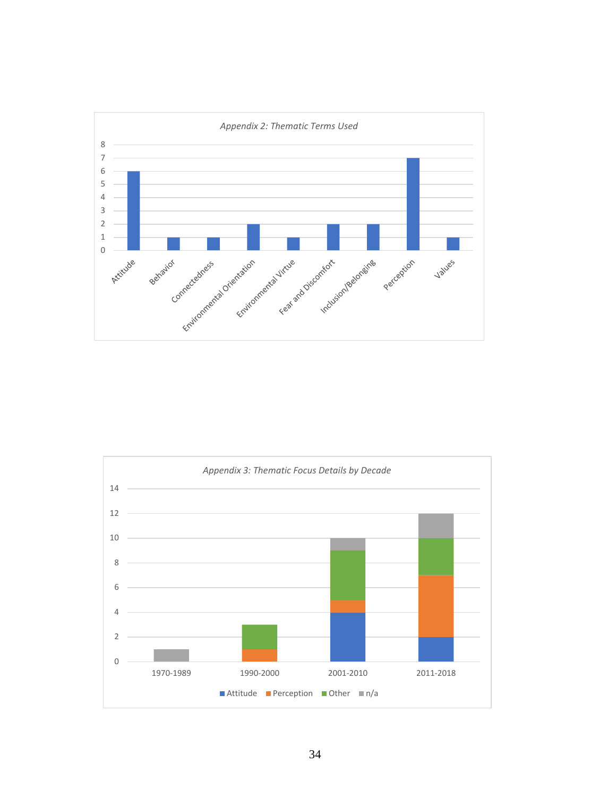

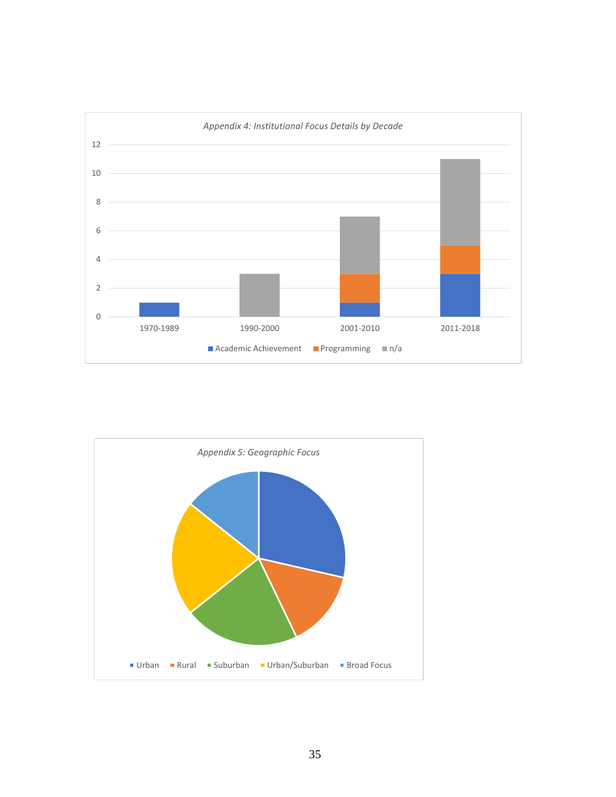

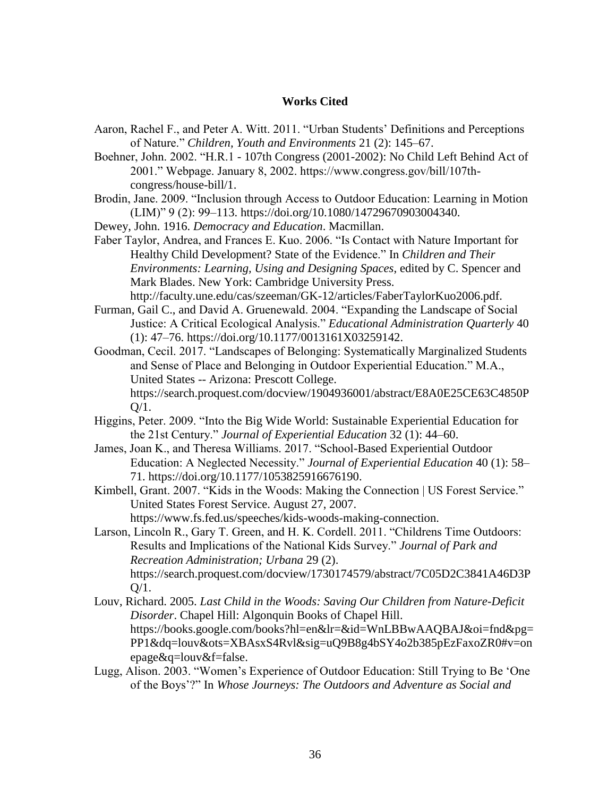#### **Works Cited**

- Aaron, Rachel F., and Peter A. Witt. 2011. "Urban Students' Definitions and Perceptions of Nature." *Children, Youth and Environments* 21 (2): 145–67.
- Boehner, John. 2002. "H.R.1 107th Congress (2001-2002): No Child Left Behind Act of 2001." Webpage. January 8, 2002. https://www.congress.gov/bill/107thcongress/house-bill/1.
- Brodin, Jane. 2009. "Inclusion through Access to Outdoor Education: Learning in Motion (LIM)" 9 (2): 99–113. https://doi.org/10.1080/14729670903004340.
- Dewey, John. 1916. *Democracy and Education*. Macmillan.
- Faber Taylor, Andrea, and Frances E. Kuo. 2006. "Is Contact with Nature Important for Healthy Child Development? State of the Evidence." In *Children and Their Environments: Learning, Using and Designing Spaces*, edited by C. Spencer and Mark Blades. New York: Cambridge University Press. http://faculty.une.edu/cas/szeeman/GK-12/articles/FaberTaylorKuo2006.pdf.
- Furman, Gail C., and David A. Gruenewald. 2004. "Expanding the Landscape of Social Justice: A Critical Ecological Analysis." *Educational Administration Quarterly* 40 (1): 47–76. https://doi.org/10.1177/0013161X03259142.

Goodman, Cecil. 2017. "Landscapes of Belonging: Systematically Marginalized Students and Sense of Place and Belonging in Outdoor Experiential Education." M.A., United States -- Arizona: Prescott College. https://search.proquest.com/docview/1904936001/abstract/E8A0E25CE63C4850P Q/1.

- Higgins, Peter. 2009. "Into the Big Wide World: Sustainable Experiential Education for the 21st Century." *Journal of Experiential Education* 32 (1): 44–60.
- James, Joan K., and Theresa Williams. 2017. "School-Based Experiential Outdoor Education: A Neglected Necessity." *Journal of Experiential Education* 40 (1): 58– 71. https://doi.org/10.1177/1053825916676190.
- Kimbell, Grant. 2007. "Kids in the Woods: Making the Connection | US Forest Service." United States Forest Service. August 27, 2007. https://www.fs.fed.us/speeches/kids-woods-making-connection.

Larson, Lincoln R., Gary T. Green, and H. K. Cordell. 2011. "Childrens Time Outdoors: Results and Implications of the National Kids Survey." *Journal of Park and Recreation Administration; Urbana* 29 (2). https://search.proquest.com/docview/1730174579/abstract/7C05D2C3841A46D3P  $O/1$ .

- Louv, Richard. 2005. *Last Child in the Woods: Saving Our Children from Nature-Deficit Disorder*. Chapel Hill: Algonquin Books of Chapel Hill. https://books.google.com/books?hl=en&lr=&id=WnLBBwAAQBAJ&oi=fnd&pg= PP1&dq=louv&ots=XBAsxS4Rvl&sig=uQ9B8g4bSY4o2b385pEzFaxoZR0#v=on epage&q=louv&f=false.
- Lugg, Alison. 2003. "Women's Experience of Outdoor Education: Still Trying to Be 'One of the Boys'?" In *Whose Journeys: The Outdoors and Adventure as Social and*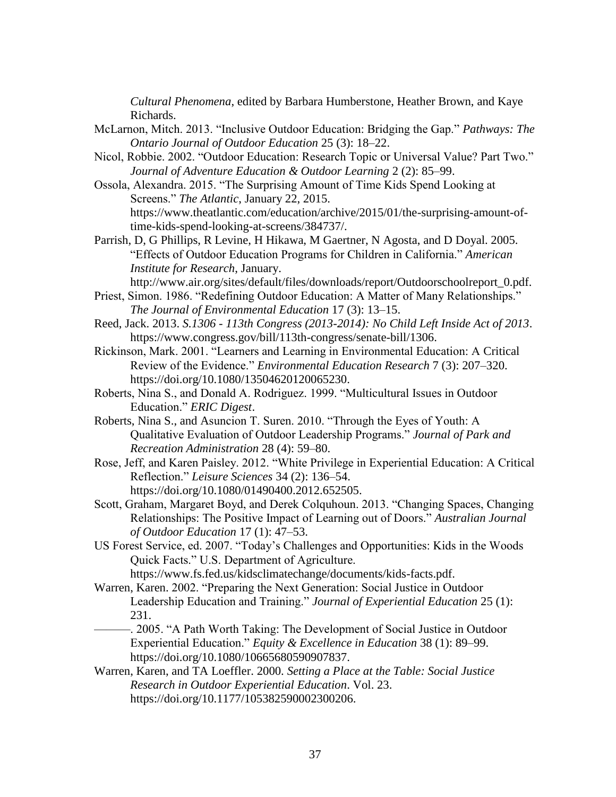*Cultural Phenomena*, edited by Barbara Humberstone, Heather Brown, and Kaye Richards.

- McLarnon, Mitch. 2013. "Inclusive Outdoor Education: Bridging the Gap." *Pathways: The Ontario Journal of Outdoor Education* 25 (3): 18–22.
- Nicol, Robbie. 2002. "Outdoor Education: Research Topic or Universal Value? Part Two." *Journal of Adventure Education & Outdoor Learning* 2 (2): 85–99.
- Ossola, Alexandra. 2015. "The Surprising Amount of Time Kids Spend Looking at Screens." *The Atlantic*, January 22, 2015. https://www.theatlantic.com/education/archive/2015/01/the-surprising-amount-oftime-kids-spend-looking-at-screens/384737/.
- Parrish, D, G Phillips, R Levine, H Hikawa, M Gaertner, N Agosta, and D Doyal. 2005. "Effects of Outdoor Education Programs for Children in California." *American Institute for Research*, January.

http://www.air.org/sites/default/files/downloads/report/Outdoorschoolreport\_0.pdf. Priest, Simon. 1986. "Redefining Outdoor Education: A Matter of Many Relationships."

*The Journal of Environmental Education* 17 (3): 13–15.

- Reed, Jack. 2013. *S.1306 - 113th Congress (2013-2014): No Child Left Inside Act of 2013*. https://www.congress.gov/bill/113th-congress/senate-bill/1306.
- Rickinson, Mark. 2001. "Learners and Learning in Environmental Education: A Critical Review of the Evidence." *Environmental Education Research* 7 (3): 207–320. https://doi.org/10.1080/13504620120065230.
- Roberts, Nina S., and Donald A. Rodriguez. 1999. "Multicultural Issues in Outdoor Education." *ERIC Digest*.
- Roberts, Nina S., and Asuncion T. Suren. 2010. "Through the Eyes of Youth: A Qualitative Evaluation of Outdoor Leadership Programs." *Journal of Park and Recreation Administration* 28 (4): 59–80.
- Rose, Jeff, and Karen Paisley. 2012. "White Privilege in Experiential Education: A Critical Reflection." *Leisure Sciences* 34 (2): 136–54. https://doi.org/10.1080/01490400.2012.652505.
- Scott, Graham, Margaret Boyd, and Derek Colquhoun. 2013. "Changing Spaces, Changing Relationships: The Positive Impact of Learning out of Doors." *Australian Journal of Outdoor Education* 17 (1): 47–53.
- US Forest Service, ed. 2007. "Today's Challenges and Opportunities: Kids in the Woods Quick Facts." U.S. Department of Agriculture. https://www.fs.fed.us/kidsclimatechange/documents/kids-facts.pdf.
- Warren, Karen. 2002. "Preparing the Next Generation: Social Justice in Outdoor Leadership Education and Training." *Journal of Experiential Education* 25 (1): 231.
	- ———. 2005. "A Path Worth Taking: The Development of Social Justice in Outdoor Experiential Education." *Equity & Excellence in Education* 38 (1): 89–99. https://doi.org/10.1080/10665680590907837.
- Warren, Karen, and TA Loeffler. 2000. *Setting a Place at the Table: Social Justice Research in Outdoor Experiential Education*. Vol. 23. https://doi.org/10.1177/105382590002300206.